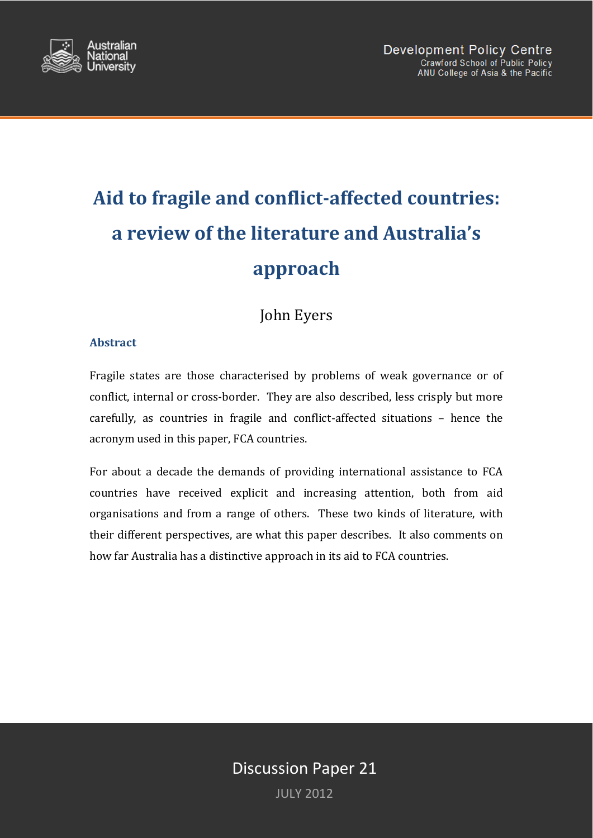

# **Aid to fragile and conflict-affected countries: a review of the literature and Australia's approach**

John Eyers

## **Abstract**

Fragile states are those characterised by problems of weak governance or of conflict, internal or cross-border. They are also described, less crisply but more carefully, as countries in fragile and conflict-affected situations – hence the acronym used in this paper, FCA countries.

For about a decade the demands of providing international assistance to FCA countries have received explicit and increasing attention, both from aid organisations and from a range of others. These two kinds of literature, with their different perspectives, are what this paper describes. It also comments on how far Australia has a distinctive approach in its aid to FCA countries.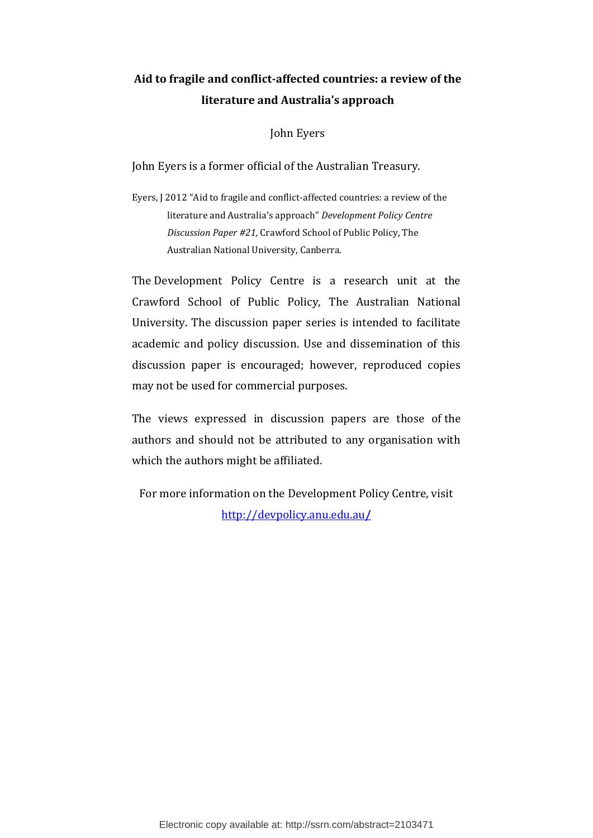# **Aid to fragile and conflict-affected countries: a review of the literature and Australia's approach**

John Eyers

John Eyers is a former official of the Australian Treasury.

Eyers, J 2012 "Aid to fragile and conflict-affected countries: a review of the literature and Australia's approach" *Development Policy Centre Discussion Paper #21,* Crawford School of Public Policy, The Australian National University, Canberra.

The Development Policy Centre is a research unit at the Crawford School of Public Policy, The Australian National University. The discussion paper series is intended to facilitate academic and policy discussion. Use and dissemination of this discussion paper is encouraged; however, reproduced copies may not be used for commercial purposes.

The views expressed in discussion papers are those of the authors and should not be attributed to any organisation with which the authors might be affiliated.

For more information on the Development Policy Centre, visit [http://devpolicy.anu.edu.au](http://devpolicy.anu.edu.au/)**/**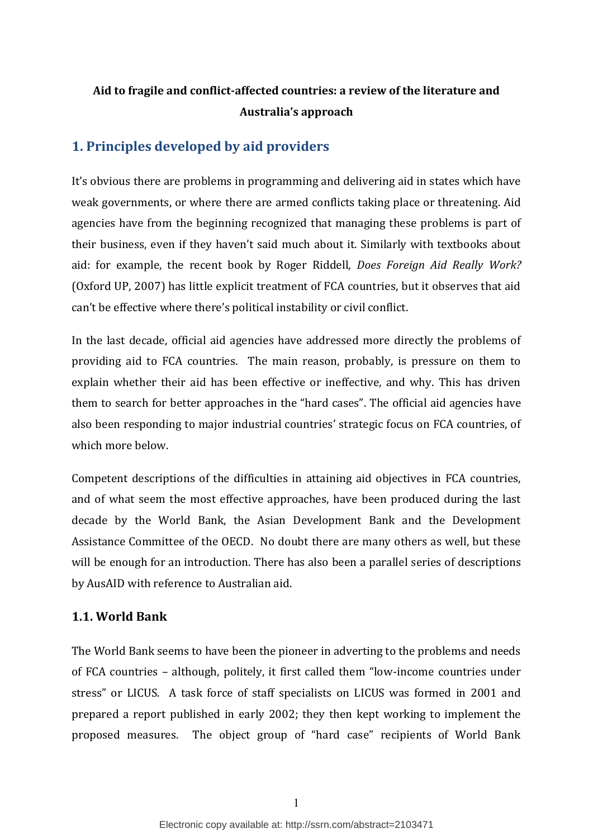# **Aid to fragile and conflict-affected countries: a review of the literature and Australia's approach**

# **1. Principles developed by aid providers**

It's obvious there are problems in programming and delivering aid in states which have weak governments, or where there are armed conflicts taking place or threatening. Aid agencies have from the beginning recognized that managing these problems is part of their business, even if they haven't said much about it. Similarly with textbooks about aid: for example, the recent book by Roger Riddell, *Does Foreign Aid Really Work?*  (Oxford UP, 2007) has little explicit treatment of FCA countries, but it observes that aid can't be effective where there's political instability or civil conflict.

In the last decade, official aid agencies have addressed more directly the problems of providing aid to FCA countries. The main reason, probably, is pressure on them to explain whether their aid has been effective or ineffective, and why. This has driven them to search for better approaches in the "hard cases". The official aid agencies have also been responding to major industrial countries' strategic focus on FCA countries, of which more below.

Competent descriptions of the difficulties in attaining aid objectives in FCA countries, and of what seem the most effective approaches, have been produced during the last decade by the World Bank, the Asian Development Bank and the Development Assistance Committee of the OECD. No doubt there are many others as well, but these will be enough for an introduction. There has also been a parallel series of descriptions by AusAID with reference to Australian aid.

#### **1.1. World Bank**

The World Bank seems to have been the pioneer in adverting to the problems and needs of FCA countries – although, politely, it first called them "low-income countries under stress" or LICUS. A task force of staff specialists on LICUS was formed in 2001 and prepared a report published in early 2002; they then kept working to implement the proposed measures. The object group of "hard case" recipients of World Bank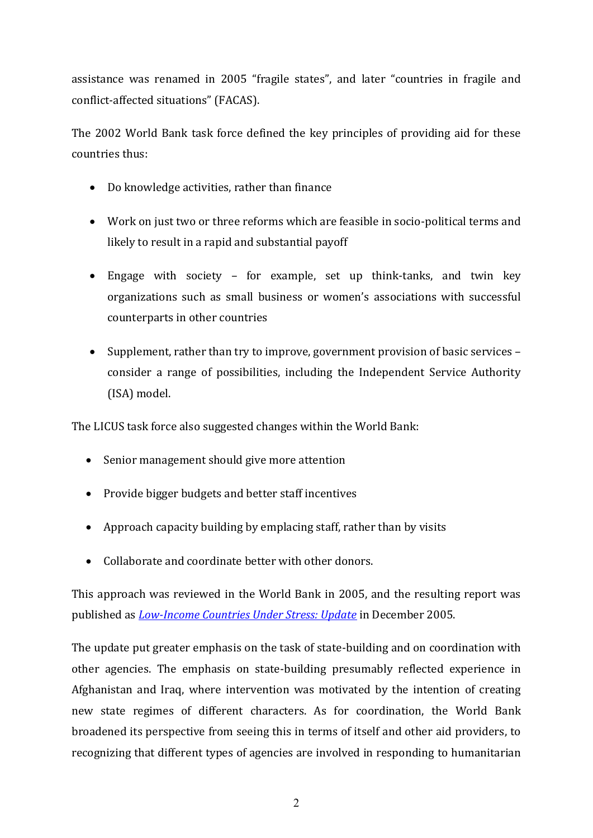assistance was renamed in 2005 "fragile states", and later "countries in fragile and conflict-affected situations" (FACAS). 

The 2002 World Bank task force defined the key principles of providing aid for these countries thus:

- Do knowledge activities, rather than finance
- Work on just two or three reforms which are feasible in socio-political terms and likely to result in a rapid and substantial payoff
- Engage with society for example, set up think-tanks, and twin key organizations such as small business or women's associations with successful counterparts in other countries
- Supplement, rather than try to improve, government provision of basic services consider a range of possibilities, including the Independent Service Authority (ISA) model.

The LICUS task force also suggested changes within the World Bank:

- Senior management should give more attention
- Provide bigger budgets and better staff incentives
- Approach capacity building by emplacing staff, rather than by visits
- Collaborate and coordinate better with other donors.

This approach was reviewed in the World Bank in 2005, and the resulting report was published as *[Low-Income Countries Under Stress: Update](http://siteresources.worldbank.org/INTLICUS/Resources/388758-1094226297907/LICUS_Update.pdf)* in December 2005.

The update put greater emphasis on the task of state-building and on coordination with other agencies. The emphasis on state-building presumably reflected experience in Afghanistan and Iraq, where intervention was motivated by the intention of creating new state regimes of different characters. As for coordination, the World Bank broadened its perspective from seeing this in terms of itself and other aid providers, to recognizing that different types of agencies are involved in responding to humanitarian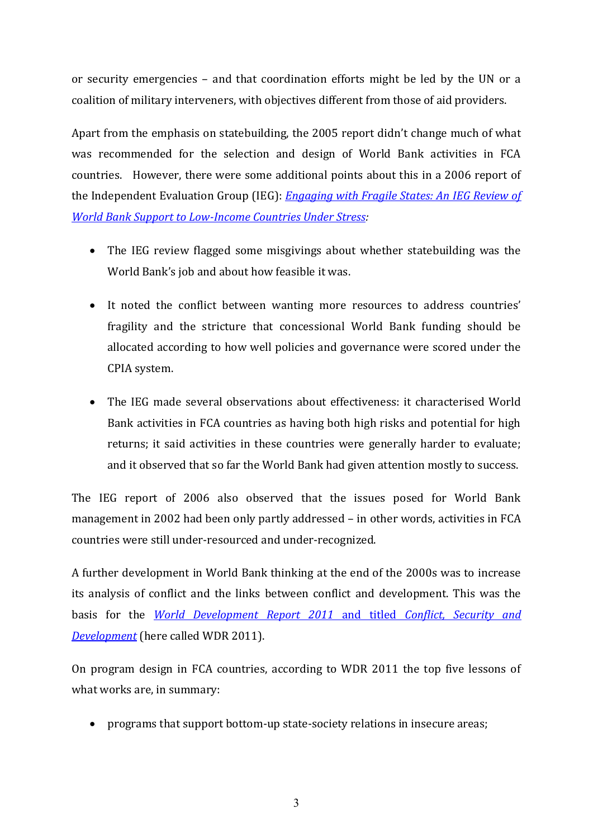or security emergencies – and that coordination efforts might be led by the UN or a coalition of military interveners, with objectives different from those of aid providers.

Apart from the emphasis on statebuilding, the 2005 report didn't change much of what was recommended for the selection and design of World Bank activities in FCA countries. However, there were some additional points about this in a 2006 report of the Independent Evaluation Group (IEG): *[Engaging with Fragile States: An IEG Review of](http://www.worldbank.org/ieg/recent/)  [World Bank Support to Low-Income Countries Under Stress:](http://www.worldbank.org/ieg/recent/)*

- The IEG review flagged some misgivings about whether statebuilding was the World Bank's job and about how feasible it was.
- It noted the conflict between wanting more resources to address countries' fragility and the stricture that concessional World Bank funding should be allocated according to how well policies and governance were scored under the CPIA system.
- The IEG made several observations about effectiveness: it characterised World Bank activities in FCA countries as having both high risks and potential for high returns; it said activities in these countries were generally harder to evaluate; and it observed that so far the World Bank had given attention mostly to success.

The IEG report of 2006 also observed that the issues posed for World Bank management in 2002 had been only partly addressed – in other words, activities in FCA countries were still under-resourced and under-recognized.

A further development in World Bank thinking at the end of the 2000s was to increase its analysis of conflict and the links between conflict and development. This was the basis for the *[World Development Report 2011](http://www.issuu.com/world.bank.publications/docs/9780821384398/1)* and titled *Conflict, Security and [Development](http://www.issuu.com/world.bank.publications/docs/9780821384398/1)* (here called WDR 2011).

On program design in FCA countries, according to WDR 2011 the top five lessons of what works are, in summary:

programs that support bottom-up state-society relations in insecure areas;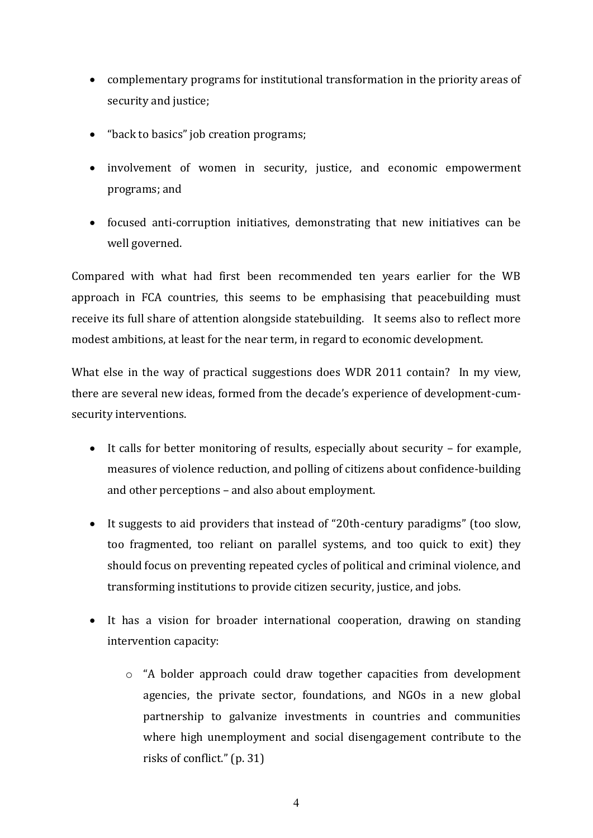- complementary programs for institutional transformation in the priority areas of security and justice;
- "back to basics" job creation programs;
- involvement of women in security, justice, and economic empowerment programs; and
- focused anti-corruption initiatives, demonstrating that new initiatives can be well governed.

Compared with what had first been recommended ten years earlier for the WB approach in FCA countries, this seems to be emphasising that peacebuilding must receive its full share of attention alongside statebuilding. It seems also to reflect more modest ambitions, at least for the near term, in regard to economic development.

What else in the way of practical suggestions does WDR 2011 contain? In my view, there are several new ideas, formed from the decade's experience of development-cumsecurity interventions.

- It calls for better monitoring of results, especially about security for example, measures of violence reduction, and polling of citizens about confidence-building and other perceptions – and also about employment.
- It suggests to aid providers that instead of "20th-century paradigms" (too slow, too fragmented, too reliant on parallel systems, and too quick to exit) they should focus on preventing repeated cycles of political and criminal violence, and transforming institutions to provide citizen security, justice, and jobs.
- It has a vision for broader international cooperation, drawing on standing intervention capacity:
	- $\circ$  "A bolder approach could draw together capacities from development agencies, the private sector, foundations, and NGOs in a new global partnership to galvanize investments in countries and communities where high unemployment and social disengagement contribute to the risks of conflict."  $(p. 31)$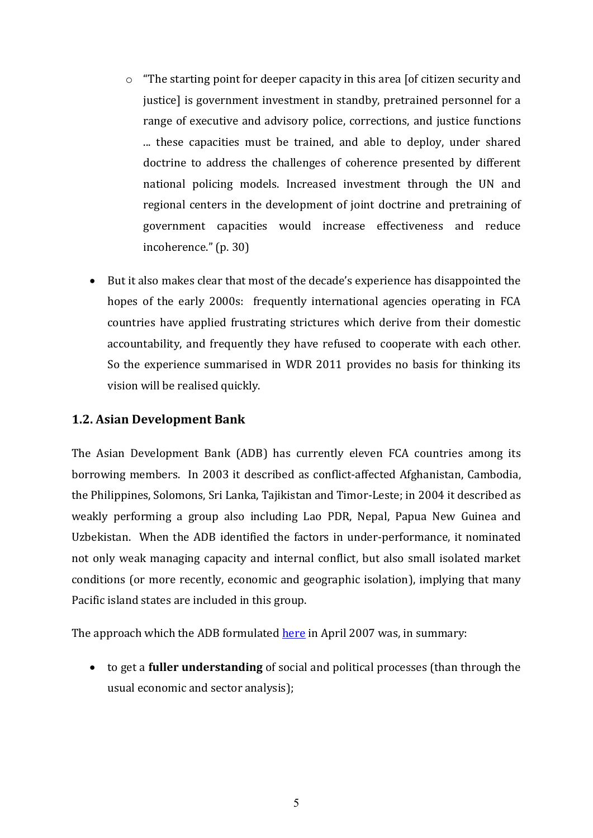- $\circ$  "The starting point for deeper capacity in this area [of citizen security and justice] is government investment in standby, pretrained personnel for a range of executive and advisory police, corrections, and justice functions ... these capacities must be trained, and able to deploy, under shared doctrine to address the challenges of coherence presented by different national policing models. Increased investment through the UN and regional centers in the development of joint doctrine and pretraining of government capacities would increase effectiveness and reduce incoherence." (p. 30)
- $\bullet$  But it also makes clear that most of the decade's experience has disappointed the hopes of the early 2000s: frequently international agencies operating in FCA countries have applied frustrating strictures which derive from their domestic accountability, and frequently they have refused to cooperate with each other. So the experience summarised in WDR 2011 provides no basis for thinking its vision will be realised quickly.

# **1.2. Asian Development Bank**

The Asian Development Bank (ADB) has currently eleven FCA countries among its borrowing members. In 2003 it described as conflict-affected Afghanistan, Cambodia, the Philippines, Solomons, Sri Lanka, Tajikistan and Timor-Leste; in 2004 it described as weakly performing a group also including Lao PDR, Nepal, Papua New Guinea and Uzbekistan. When the ADB identified the factors in under-performance, it nominated not only weak managing capacity and internal conflict, but also small isolated market conditions (or more recently, economic and geographic isolation), implying that many Pacific island states are included in this group.

The approach which the ADB formulated [here](http://www.adb.org/documents/achieving-development-effectiveness-weakly-performing-countries-asian-development-bank-s-a?ref=themes/governance/publications/references) in April 2007 was, in summary:

 to get a **fuller understanding** of social and political processes (than through the usual economic and sector analysis);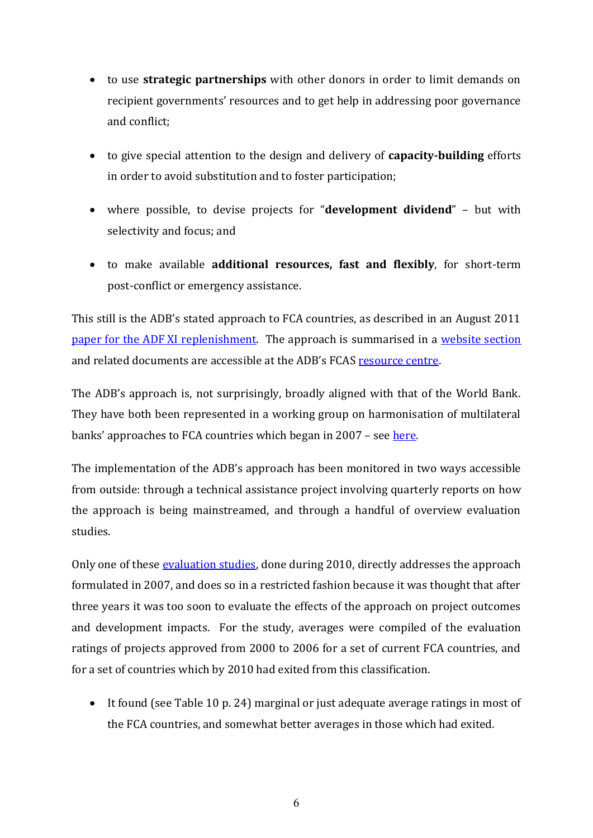- to use **strategic partnerships** with other donors in order to limit demands on recipient governments' resources and to get help in addressing poor governance and conflict;
- to give special attention to the design and delivery of **capacity-building** efforts in order to avoid substitution and to foster participation;
- where possible, to devise projects for "**development dividend**" but with selectivity and focus; and
- to make available **additional resources, fast and flexibly**, for short-term post-conflict or emergency assistance.

This still is the ADB's stated approach to FCA countries, as described in an August 2011 [paper for the ADF](http://beta.adb.org/sites/default/files/ADF-XI-ADB-Engagement-Fragile-Conflict-Affected-Situations.pdf) XI replenishment. The approach is summarised in a [website section](http://www.adb.org/themes/governance/fragile-situations/resource-center) and related documents are accessible at the ADB's FCAS [resource centre.](http://fragilesituations.adb.org/)

The ADB's approach is, not surprisingly, broadly aligned with that of the World Bank. They have both been represented in a working group on harmonisation of multilateral banks' approaches to FCA countries which began in 2007 – see [here.](http://siteresources.worldbank.org/INTLICUS/Resources/Report_of_the_MDB_Working_Group.pdf)

The implementation of the ADB's approach has been monitored in two ways accessible from outside: through a technical assistance project involving quarterly reports on how the approach is being mainstreamed, and through a handful of overview evaluation studies.

Only one of these [evaluation studies,](http://www.adb.org/sites/default/files/SES-REG-2010-45.pdf) done during 2010, directly addresses the approach formulated in 2007, and does so in a restricted fashion because it was thought that after three years it was too soon to evaluate the effects of the approach on project outcomes and development impacts. For the study, averages were compiled of the evaluation ratings of projects approved from 2000 to 2006 for a set of current FCA countries, and for a set of countries which by 2010 had exited from this classification.

 It found (see Table 10 p. 24) marginal or just adequate average ratings in most of the FCA countries, and somewhat better averages in those which had exited.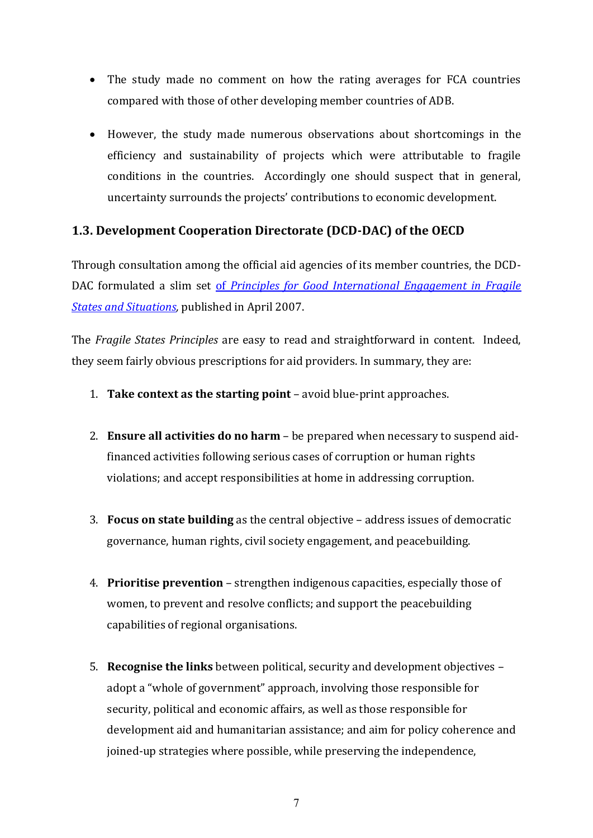- The study made no comment on how the rating averages for FCA countries compared with those of other developing member countries of ADB.
- However, the study made numerous observations about shortcomings in the efficiency and sustainability of projects which were attributable to fragile conditions in the countries. Accordingly one should suspect that in general, uncertainty surrounds the projects' contributions to economic development.

## **1.3. Development Cooperation Directorate (DCD-DAC) of the OECD**

Through consultation among the official aid agencies of its member countries, the DCD-DAC formulated a slim set of *[Principles for Good International Engagement in Fragile](http://www.oecd.org/document/55/0,3746,en_2649_33693550_49386615_1_1_1_1,00.html)  [States and Situations,](http://www.oecd.org/document/55/0,3746,en_2649_33693550_49386615_1_1_1_1,00.html)* published in April 2007.

The *Fragile States Principles* are easy to read and straightforward in content. Indeed, they seem fairly obvious prescriptions for aid providers. In summary, they are:

- 1. **Take context as the starting point** avoid blue-print approaches.
- 2. **Ensure all activities do no harm** be prepared when necessary to suspend aidfinanced activities following serious cases of corruption or human rights violations; and accept responsibilities at home in addressing corruption.
- 3. **Focus on state building** as the central objective address issues of democratic governance, human rights, civil society engagement, and peacebuilding.
- 4. **Prioritise prevention** strengthen indigenous capacities, especially those of women, to prevent and resolve conflicts; and support the peacebuilding capabilities of regional organisations.
- 5. **Recognise the links** between political, security and development objectives adopt a "whole of government" approach, involving those responsible for security, political and economic affairs, as well as those responsible for development aid and humanitarian assistance; and aim for policy coherence and joined-up strategies where possible, while preserving the independence,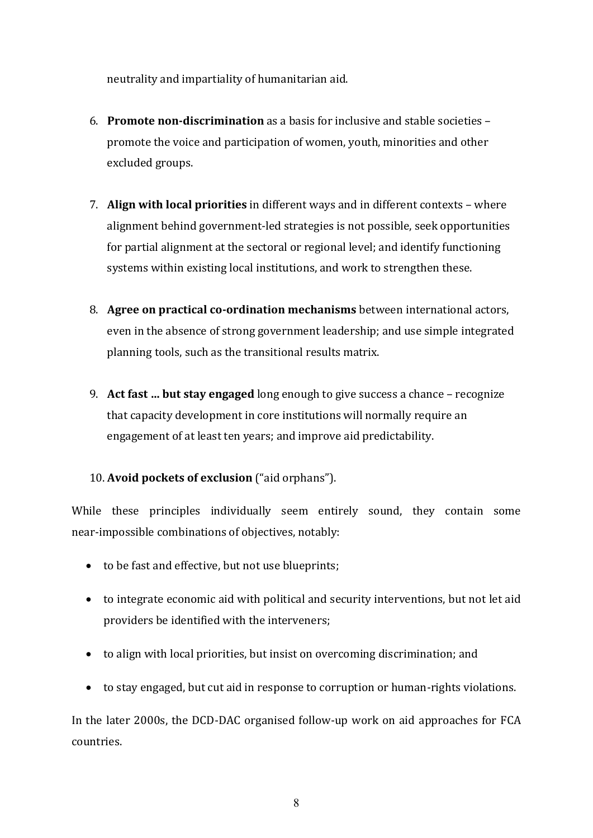neutrality and impartiality of humanitarian aid.

- 6. **Promote non-discrimination** as a basis for inclusive and stable societies promote the voice and participation of women, youth, minorities and other excluded groups.
- 7. **Align with local priorities** in different ways and in different contexts where alignment behind government-led strategies is not possible, seek opportunities for partial alignment at the sectoral or regional level; and identify functioning systems within existing local institutions, and work to strengthen these.
- 8. **Agree on practical co-ordination mechanisms** between international actors, even in the absence of strong government leadership; and use simple integrated planning tools, such as the transitional results matrix.
- 9. **Act fast ... but stay engaged** long enough to give success a chance recognize that capacity development in core institutions will normally require an engagement of at least ten years; and improve aid predictability.

# 10. Avoid pockets of exclusion ("aid orphans").

While these principles individually seem entirely sound, they contain some near-impossible combinations of objectives, notably:

- to be fast and effective, but not use blueprints;
- to integrate economic aid with political and security interventions, but not let aid providers be identified with the interveners;
- to align with local priorities, but insist on overcoming discrimination; and
- to stay engaged, but cut aid in response to corruption or human-rights violations.

In the later 2000s, the DCD-DAC organised follow-up work on aid approaches for FCA countries.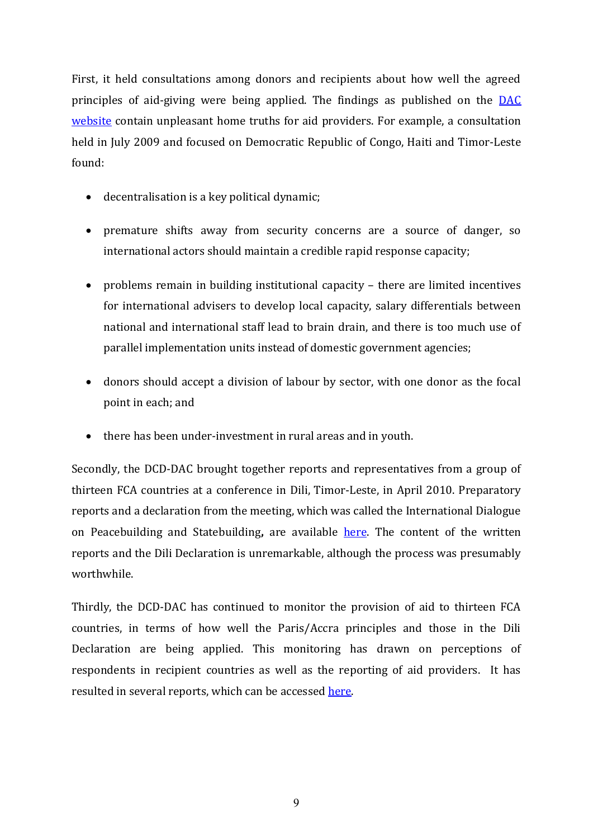First, it held consultations among donors and recipients about how well the agreed principles of aid-giving were being applied. The findings as published on the [DAC](http://www.oecd.org/document/54/0,3746,en_2649_33693550_49397238_1_1_1_1,00.html)  [website](http://www.oecd.org/document/54/0,3746,en_2649_33693550_49397238_1_1_1_1,00.html) contain unpleasant home truths for aid providers. For example, a consultation held in July 2009 and focused on Democratic Republic of Congo, Haiti and Timor-Leste found:

- decentralisation is a key political dynamic;
- premature shifts away from security concerns are a source of danger, so international actors should maintain a credible rapid response capacity;
- problems remain in building institutional capacity there are limited incentives for international advisers to develop local capacity, salary differentials between national and international staff lead to brain drain, and there is too much use of parallel implementation units instead of domestic government agencies;
- donors should accept a division of labour by sector, with one donor as the focal point in each; and
- there has been under-investment in rural areas and in youth.

Secondly, the DCD-DAC brought together reports and representatives from a group of thirteen FCA countries at a conference in Dili, Timor-Leste, in April 2010. Preparatory reports and a declaration from the meeting, which was called the International Dialogue on Peacebuilding and Statebuilding**,** are available [here.](http://www.oecd.org/document/43/0,3746,en_21571361_43407692_44335467_1_1_1_1,00.html) The content of the written reports and the Dili Declaration is unremarkable, although the process was presumably worthwhile.

Thirdly, the DCD-DAC has continued to monitor the provision of aid to thirteen FCA countries, in terms of how well the Paris/Accra principles and those in the Dili Declaration are being applied. This monitoring has drawn on perceptions of respondents in recipient countries as well as the reporting of aid providers. It has resulted in several reports, which can be accessed [here.](http://www.oecd.org/document/15/0,3746,en_2649_33721_45793615_1_1_1_1,00.html)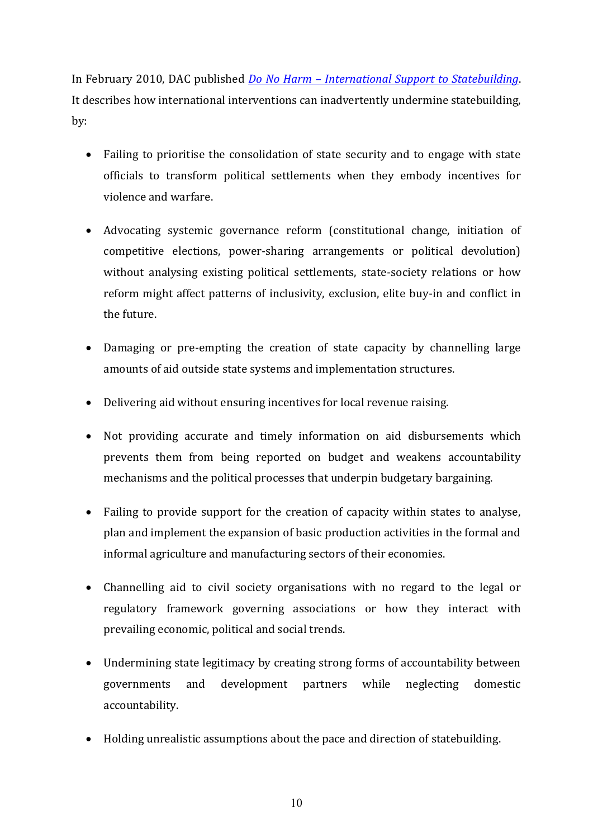In February 2010, DAC published *Do No Harm – [International Support to Statebuilding](http://www.oecd.org/document/30/0,3746,en_2649_33693550_44408734_1_1_1_1,00.html)*. It describes how international interventions can inadvertently undermine statebuilding, by:

- Failing to prioritise the consolidation of state security and to engage with state officials to transform political settlements when they embody incentives for violence and warfare.
- Advocating systemic governance reform (constitutional change, initiation of competitive elections, power-sharing arrangements or political devolution) without analysing existing political settlements, state-society relations or how reform might affect patterns of inclusivity, exclusion, elite buy-in and conflict in the future.
- Damaging or pre-empting the creation of state capacity by channelling large amounts of aid outside state systems and implementation structures.
- Delivering aid without ensuring incentives for local revenue raising.
- Not providing accurate and timely information on aid disbursements which prevents them from being reported on budget and weakens accountability mechanisms and the political processes that underpin budgetary bargaining.
- Failing to provide support for the creation of capacity within states to analyse, plan and implement the expansion of basic production activities in the formal and informal agriculture and manufacturing sectors of their economies.
- Channelling aid to civil society organisations with no regard to the legal or regulatory framework governing associations or how they interact with prevailing economic, political and social trends.
- Undermining state legitimacy by creating strong forms of accountability between governments and development partners while neglecting domestic accountability.
- Holding unrealistic assumptions about the pace and direction of statebuilding.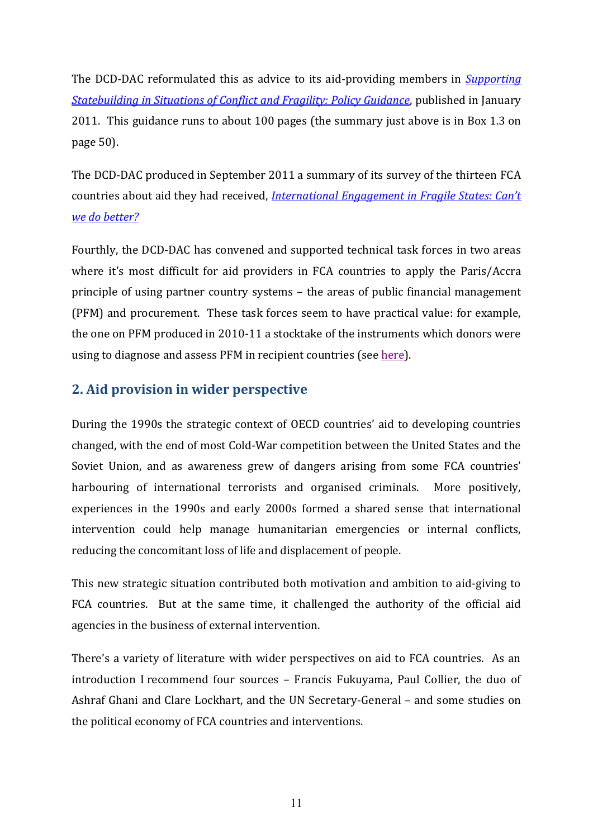The DCD-DAC reformulated this as advice to its aid-providing members in *[Supporting](http://www.oecd.org/document/53/0,3746,en_2649_33693550_46623180_1_1_1_1,00.html)  [Statebuilding in Situations of Conflict and Fragility: Policy Guidance](http://www.oecd.org/document/53/0,3746,en_2649_33693550_46623180_1_1_1_1,00.html)*, published in January 2011. This guidance runs to about 100 pages (the summary just above is in Box 1.3 on page 50).

The DCD-DAC produced in September 2011 a summary of its survey of the thirteen FCA countries about aid they had received, *International Engagement in Fragile States: Can't [we do better?](http://www.oecd.org/document/53/0,3746,en_2649_33693550_48696949_1_1_1_1,00.html)*

Fourthly, the DCD-DAC has convened and supported technical task forces in two areas where it's most difficult for aid providers in FCA countries to apply the Paris/Accra principle of using partner country systems – the areas of public financial management (PFM) and procurement. These task forces seem to have practical value: for example, the one on PFM produced in 2010-11 a stocktake of the instruments which donors were using to diagnose and assess PFM in recipient countries (see [here\)](http://www.oecd.org/document/36/0,3746,en_2649_3236398_43437604_1_1_1_1,00.html).

# **2. Aid provision in wider perspective**

During the 1990s the strategic context of OECD countries' aid to developing countries changed, with the end of most Cold-War competition between the United States and the Soviet Union, and as awareness grew of dangers arising from some FCA countries' harbouring of international terrorists and organised criminals. More positively, experiences in the 1990s and early 2000s formed a shared sense that international intervention could help manage humanitarian emergencies or internal conflicts, reducing the concomitant loss of life and displacement of people.

This new strategic situation contributed both motivation and ambition to aid-giving to FCA countries. But at the same time, it challenged the authority of the official aid agencies in the business of external intervention.

There's a variety of literature with wider perspectives on aid to FCA countries. As an introduction I recommend four sources – Francis Fukuyama, Paul Collier, the duo of Ashraf Ghani and Clare Lockhart, and the UN Secretary-General – and some studies on the political economy of FCA countries and interventions.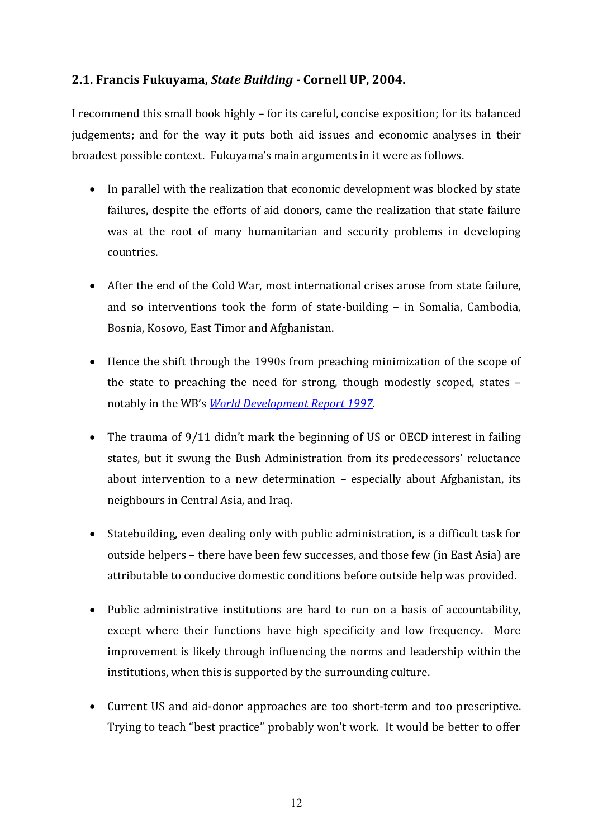## **2.1. Francis Fukuyama,** *State Building* **- Cornell UP, 2004.**

I recommend this small book highly – for its careful, concise exposition; for its balanced judgements; and for the way it puts both aid issues and economic analyses in their broadest possible context. Fukuyama's main arguments in it were as follows.

- In parallel with the realization that economic development was blocked by state failures, despite the efforts of aid donors, came the realization that state failure was at the root of many humanitarian and security problems in developing countries.
- After the end of the Cold War, most international crises arose from state failure, and so interventions took the form of state-building – in Somalia, Cambodia, Bosnia, Kosovo, East Timor and Afghanistan.
- Hence the shift through the 1990s from preaching minimization of the scope of the state to preaching the need for strong, though modestly scoped, states – notably in the WB's *[World Development Report 1997](http://econ.worldbank.org/external/default/main?pagePK=64165259&theSitePK=477872&piPK=64165421&menuPK=64166093&entityID=000009265_3980217141148)*.
- The trauma of 9/11 didn't mark the beginning of US or OECD interest in failing states, but it swung the Bush Administration from its predecessors' reluctance about intervention to a new determination – especially about Afghanistan, its neighbours in Central Asia, and Iraq.
- Statebuilding, even dealing only with public administration, is a difficult task for outside helpers – there have been few successes, and those few (in East Asia) are attributable to conducive domestic conditions before outside help was provided.
- Public administrative institutions are hard to run on a basis of accountability, except where their functions have high specificity and low frequency. More improvement is likely through influencing the norms and leadership within the institutions, when this is supported by the surrounding culture.
- Current US and aid-donor approaches are too short-term and too prescriptive. Trying to teach "best practice" probably won't work. It would be better to offer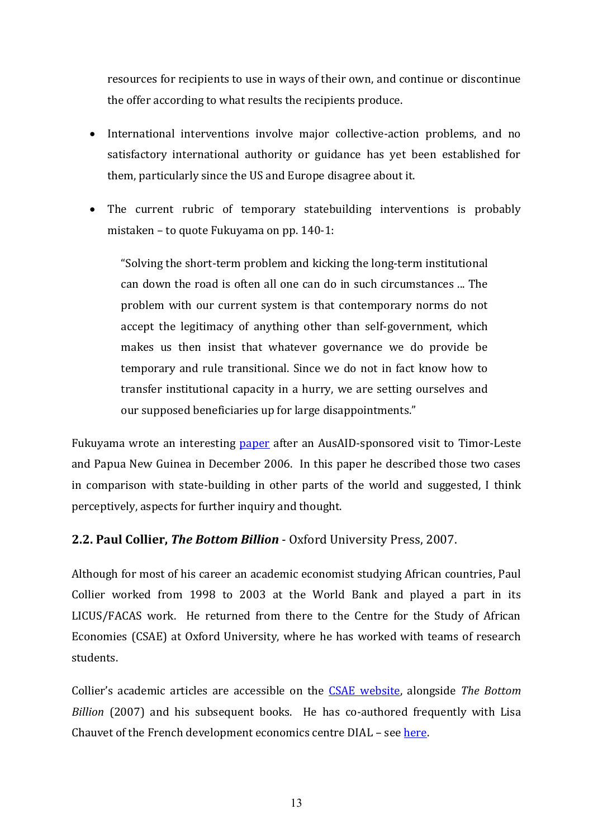resources for recipients to use in ways of their own, and continue or discontinue the offer according to what results the recipients produce.

- International interventions involve major collective-action problems, and no satisfactory international authority or guidance has yet been established for them, particularly since the US and Europe disagree about it.
- The current rubric of temporary statebuilding interventions is probably mistaken – to quote Fukuyama on pp. 140-1:

"Solving the short-term problem and kicking the long-term institutional can down the road is often all one can do in such circumstances ... The problem with our current system is that contemporary norms do not accept the legitimacy of anything other than self-government, which makes us then insist that whatever governance we do provide be temporary and rule transitional. Since we do not in fact know how to transfer institutional capacity in a hurry, we are setting ourselves and our supposed beneficiaries up for large disappointments."

Fukuyama wrote an interesting [paper](http://ebookbrowse.com/wp-state-building-doc-d91722359) after an AusAID-sponsored visit to Timor-Leste and Papua New Guinea in December 2006. In this paper he described those two cases in comparison with state-building in other parts of the world and suggested, I think perceptively, aspects for further inquiry and thought.

#### **2.2. Paul Collier,** *The Bottom Billion* - Oxford University Press, 2007.

Although for most of his career an academic economist studying African countries, Paul Collier worked from 1998 to 2003 at the World Bank and played a part in its LICUS/FACAS work. He returned from there to the Centre for the Study of African Economies (CSAE) at Oxford University, where he has worked with teams of research students.

Collier's academic articles are accessible on the **CSAE** website, alongside *The Bottom Billion* (2007) and his subsequent books. He has co-authored frequently with Lisa Chauvet of the French development economics centre DIAL – see [here.](http://mail.dial.prd.fr/dial_pagesperso/dial_chauvet/dial_pageperso_chauvet.htm)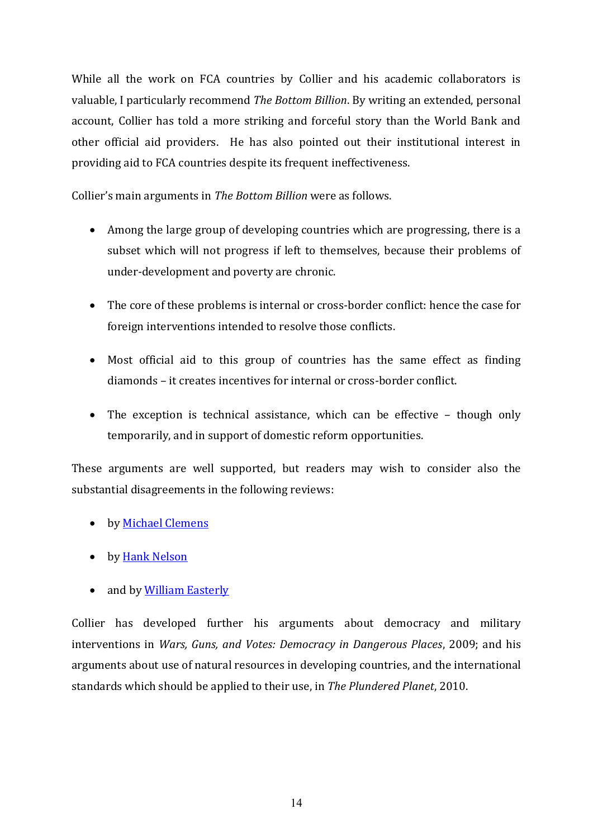While all the work on FCA countries by Collier and his academic collaborators is valuable, I particularly recommend *The Bottom Billion*. By writing an extended, personal account, Collier has told a more striking and forceful story than the World Bank and other official aid providers. He has also pointed out their institutional interest in providing aid to FCA countries despite its frequent ineffectiveness.

Collier's main arguments in *The Bottom Billion* were as follows.

- Among the large group of developing countries which are progressing, there is a subset which will not progress if left to themselves, because their problems of under-development and poverty are chronic.
- The core of these problems is internal or cross-border conflict: hence the case for foreign interventions intended to resolve those conflicts.
- Most official aid to this group of countries has the same effect as finding diamonds – it creates incentives for internal or cross-border conflict.
- The exception is technical assistance, which can be effective though only temporarily, and in support of domestic reform opportunities.

These arguments are well supported, but readers may wish to consider also the substantial disagreements in the following reviews:

- by [Michael Clemens](http://www.cgdev.org/content/publications/detail/14379/)
- by [Hank Nelson](http://ips.cap.anu.edu.au/ssgm/papers/working_papers/08_01wp_Nelson.pdf)
- and by [William Easterly](http://bostonreview.net/BR34.4/easterly.php)

Collier has developed further his arguments about democracy and military interventions in *Wars, Guns, and Votes: Democracy in Dangerous Places*, 2009; and his arguments about use of natural resources in developing countries, and the international standards which should be applied to their use, in *The Plundered Planet*, 2010.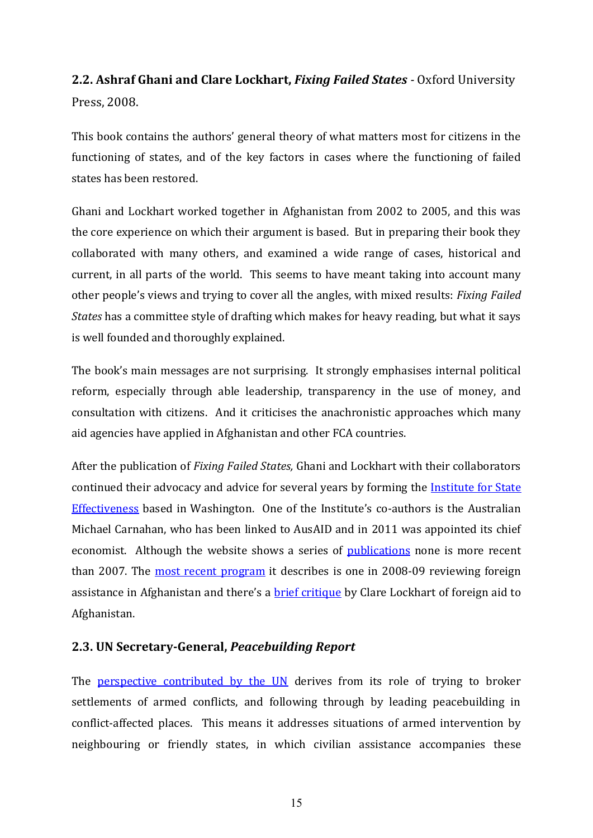# **2.2. Ashraf Ghani and Clare Lockhart,** *Fixing Failed States -* Oxford University Press, 2008.

This book contains the authors' general theory of what matters most for citizens in the functioning of states, and of the key factors in cases where the functioning of failed states has been restored.

Ghani and Lockhart worked together in Afghanistan from 2002 to 2005, and this was the core experience on which their argument is based. But in preparing their book they collaborated with many others, and examined a wide range of cases, historical and current, in all parts of the world. This seems to have meant taking into account many other people's views and trying to cover all the angles, with mixed results: *Fixing Failed States* has a committee style of drafting which makes for heavy reading, but what it says is well founded and thoroughly explained.

The book's main messages are not surprising. It strongly emphasises internal political reform, especially through able leadership, transparency in the use of money, and consultation with citizens. And it criticises the anachronistic approaches which many aid agencies have applied in Afghanistan and other FCA countries.

After the publication of *Fixing Failed States,* Ghani and Lockhart with their collaborators continued their advocacy and advice for several years by forming the [Institute for State](http://www.effectivestates.org/about.htm)  [Effectiveness](http://www.effectivestates.org/about.htm) based in Washington. One of the Institute's co-authors is the Australian Michael Carnahan, who has been linked to AusAID and in 2011 was appointed its chief economist. Although the website shows a series of [publications](http://www.effectivestates.org/resources.htm) none is more recent than 2007. The [most recent program](http://www.americanprogress.org/issues/2009/03/swords_ploughshares.html) it describes is one in 2008-09 reviewing foreign assistance in Afghanistan and there's a **[brief critique](http://www.advancingafreesociety.org/2012/04/16/next-generation-afghanistan/#more-5811)** by Clare Lockhart of foreign aid to Afghanistan.

#### **2.3. UN Secretary-General,** *Peacebuilding Report*

The [perspective contributed by the UN](http://www.un.org/en/peacebuilding/doc_sg.shtml) derives from its role of trying to broker settlements of armed conflicts, and following through by leading peacebuilding in conflict-affected places. This means it addresses situations of armed intervention by neighbouring or friendly states, in which civilian assistance accompanies these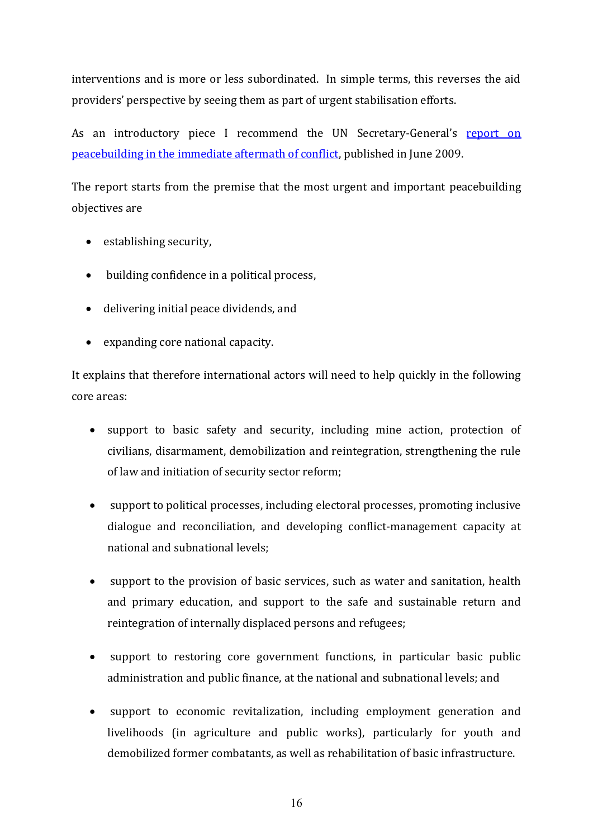interventions and is more or less subordinated. In simple terms, this reverses the aid providers' perspective by seeing them as part of urgent stabilisation efforts.

As an introductory piece I recommend the UN Secretary-General's report on [peacebuilding in the immediate aftermath of conflict,](http://www.un.org/ga/search/view_doc.asp?symbol=A/63/881) published in June 2009.

The report starts from the premise that the most urgent and important peacebuilding objectives are

- establishing security,
- building confidence in a political process,
- delivering initial peace dividends, and
- expanding core national capacity.

It explains that therefore international actors will need to help quickly in the following core areas:

- support to basic safety and security, including mine action, protection of civilians, disarmament, demobilization and reintegration, strengthening the rule of law and initiation of security sector reform;
- support to political processes, including electoral processes, promoting inclusive dialogue and reconciliation, and developing conflict-management capacity at national and subnational levels;
- support to the provision of basic services, such as water and sanitation, health and primary education, and support to the safe and sustainable return and reintegration of internally displaced persons and refugees;
- support to restoring core government functions, in particular basic public administration and public finance, at the national and subnational levels; and
- support to economic revitalization, including employment generation and livelihoods (in agriculture and public works), particularly for youth and demobilized former combatants, as well as rehabilitation of basic infrastructure.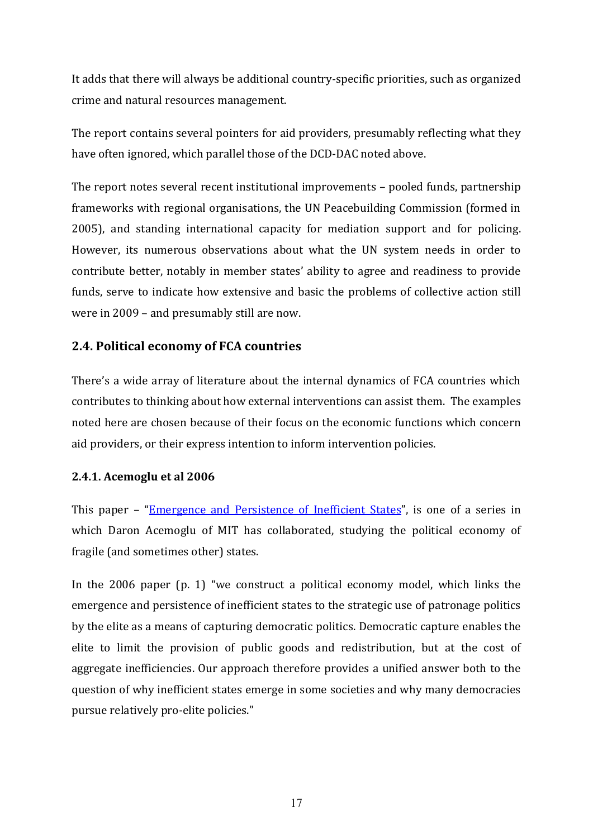It adds that there will always be additional country-specific priorities, such as organized crime and natural resources management.

The report contains several pointers for aid providers, presumably reflecting what they have often ignored, which parallel those of the DCD-DAC noted above.

The report notes several recent institutional improvements – pooled funds, partnership frameworks with regional organisations, the UN Peacebuilding Commission (formed in 2005), and standing international capacity for mediation support and for policing. However, its numerous observations about what the UN system needs in order to contribute better, notably in member states' ability to agree and readiness to provide funds, serve to indicate how extensive and basic the problems of collective action still were in 2009 – and presumably still are now.

## **2.4. Political economy of FCA countries**

There's a wide array of literature about the internal dynamics of FCA countries which contributes to thinking about how external interventions can assist them. The examples noted here are chosen because of their focus on the economic functions which concern aid providers, or their express intention to inform intervention policies.

#### **2.4.1. Acemoglu et al 2006**

This paper – "[Emergence and Persistence of Inefficient States](http://www.nber.org/papers/w12748)", is one of a series in which Daron Acemoglu of MIT has collaborated, studying the political economy of fragile (and sometimes other) states.

In the 2006 paper (p. 1) "we construct a political economy model, which links the emergence and persistence of inefficient states to the strategic use of patronage politics by the elite as a means of capturing democratic politics. Democratic capture enables the elite to limit the provision of public goods and redistribution, but at the cost of aggregate inefficiencies. Our approach therefore provides a unified answer both to the question of why inefficient states emerge in some societies and why many democracies pursue relatively pro-elite policies."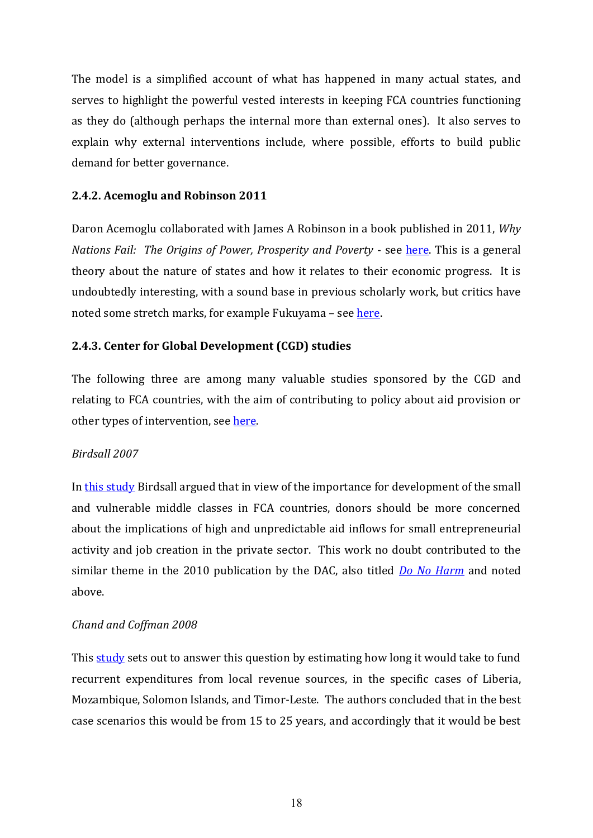The model is a simplified account of what has happened in many actual states, and serves to highlight the powerful vested interests in keeping FCA countries functioning as they do (although perhaps the internal more than external ones). It also serves to explain why external interventions include, where possible, efforts to build public demand for better governance.

#### **2.4.2. Acemoglu and Robinson 2011**

Daron Acemoglu collaborated with James A Robinson in a book published in 2011, *Why Nations Fail: The Origins of Power, Prosperity and Poverty - see [here.](http://whynationsfail.com/) This is a general* theory about the nature of states and how it relates to their economic progress. It is undoubtedly interesting, with a sound base in previous scholarly work, but critics have noted some stretch marks, for example Fukuyama – see [here.](http://whynationsfail.com/)

#### **2.4.3. Center for Global Development (CGD) studies**

The following three are among many valuable studies sponsored by the CGD and relating to FCA countries, with the aim of contributing to policy about aid provision or other types of intervention, see [here.](http://www.cgdev.org/section/topics/fragile_states/)

#### *Birdsall 2007*

In [this study](http://www.cgdev.org/content/publications/detail/13115) Birdsall argued that in view of the importance for development of the small and vulnerable middle classes in FCA countries, donors should be more concerned about the implications of high and unpredictable aid inflows for small entrepreneurial activity and job creation in the private sector. This work no doubt contributed to the similar theme in the 2010 publication by the DAC, also titled *[Do No Harm](http://www.oecd.org/document/30/0,3746,en_2649_33693550_44408734_1_1_1_1,00.html)* and noted above.

#### *Chand and Coffman 2008*

This [study](http://www.cgdev.org/content/publications/detail/15464) sets out to answer this question by estimating how long it would take to fund recurrent expenditures from local revenue sources, in the specific cases of Liberia, Mozambique, Solomon Islands, and Timor-Leste. The authors concluded that in the best case scenarios this would be from 15 to 25 years, and accordingly that it would be best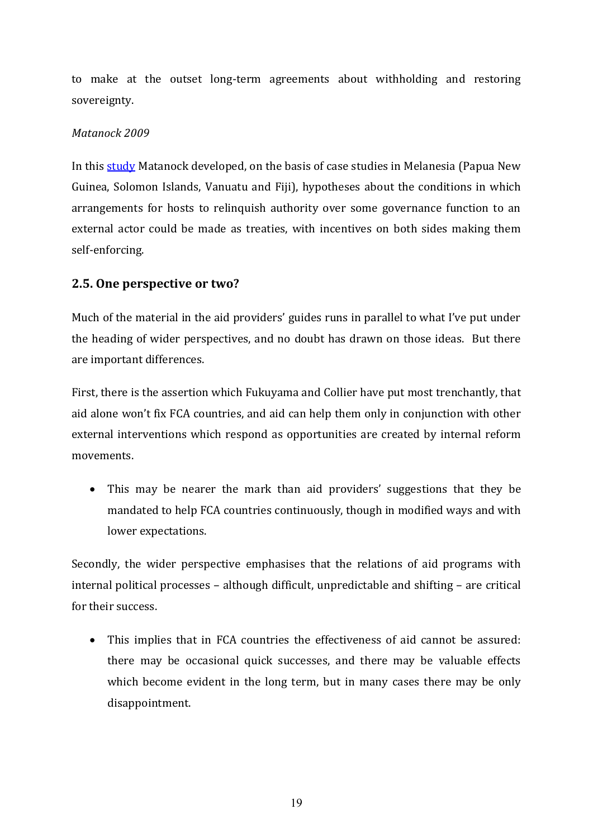to make at the outset long-term agreements about withholding and restoring sovereignty.

#### *Matanock 2009*

In this **study** Matanock developed, on the basis of case studies in Melanesia (Papua New Guinea, Solomon Islands, Vanuatu and Fiji), hypotheses about the conditions in which arrangements for hosts to relinquish authority over some governance function to an external actor could be made as treaties, with incentives on both sides making them self-enforcing.

## **2.5. One perspective or two?**

Much of the material in the aid providers' guides runs in parallel to what I've put under the heading of wider perspectives, and no doubt has drawn on those ideas. But there are important differences.

First, there is the assertion which Fukuyama and Collier have put most trenchantly, that aid alone won't fix FCA countries, and aid can help them only in conjunction with other external interventions which respond as opportunities are created by internal reform movements.

• This may be nearer the mark than aid providers' suggestions that they be mandated to help FCA countries continuously, though in modified ways and with lower expectations.

Secondly, the wider perspective emphasises that the relations of aid programs with internal political processes – although difficult, unpredictable and shifting – are critical for their success.

 This implies that in FCA countries the effectiveness of aid cannot be assured: there may be occasional quick successes, and there may be valuable effects which become evident in the long term, but in many cases there may be only disappointment.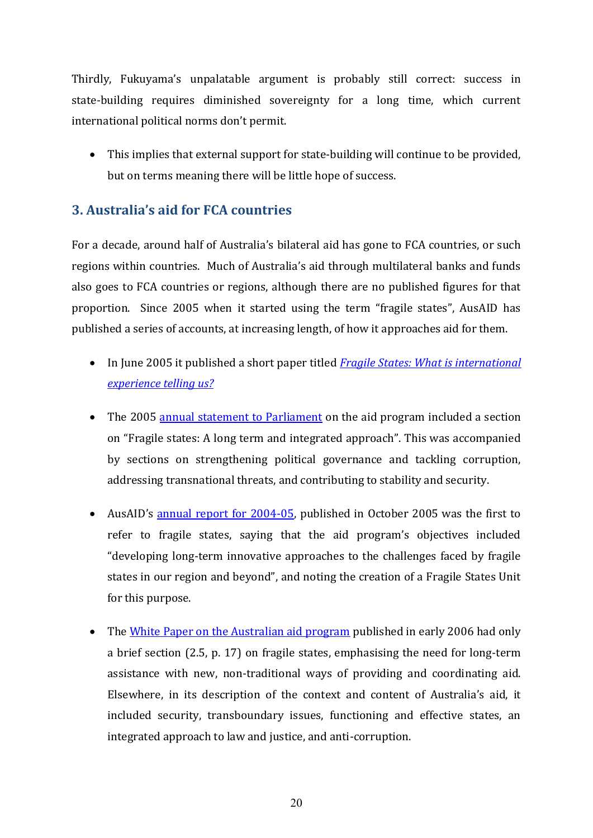Thirdly, Fukuyama's unpalatable argument is probably still correct: success in state-building requires diminished sovereignty for a long time, which current international political norms don't permit.

 This implies that external support for state-building will continue to be provided, but on terms meaning there will be little hope of success.

# **3. Australia's aid for FCA countries**

For a decade, around half of Australia's bilateral aid has gone to FCA countries, or such regions within countries. Much of Australia's aid through multilateral banks and funds also goes to FCA countries or regions, although there are no published figures for that proportion. Since 2005 when it started using the term "fragile states", AusAID has published a series of accounts, at increasing length, of how it approaches aid for them.

- In June 2005 it published a short paper titled *[Fragile States: What is international](http://www.ausaid.gov.au/HotTopics/Pages/Display.aspx?QID=679)  [experience telling us?](http://www.ausaid.gov.au/HotTopics/Pages/Display.aspx?QID=679)*
- The 2005 [annual statement to Parliament](http://www.ausaid.gov.au/Publications/Pages/2253_8978_7886_1920_9422.aspx) on the aid program included a section on "Fragile states: A long term and integrated approach". This was accompanied by sections on strengthening political governance and tackling corruption, addressing transnational threats, and contributing to stability and security.
- AusAID's [annual report for 2004-05,](http://www.ausaid.gov.au/AnnualReports/Pages/rep05default.aspx) published in October 2005 was the first to refer to fragile states, saying that the aid program's objectives included "developing long-term innovative approaches to the challenges faced by fragile states in our region and beyond", and noting the creation of a Fragile States Unit for this purpose.
- The [White Paper on the Australian aid program](http://www.ausaid.gov.au/Publications/Pages/6184_6346_7334_4045_8043.aspx) published in early 2006 had only a brief section (2.5, p. 17) on fragile states, emphasising the need for long-term assistance with new, non-traditional ways of providing and coordinating aid. Elsewhere, in its description of the context and content of Australia's aid, it included security, transboundary issues, functioning and effective states, an integrated approach to law and justice, and anti-corruption.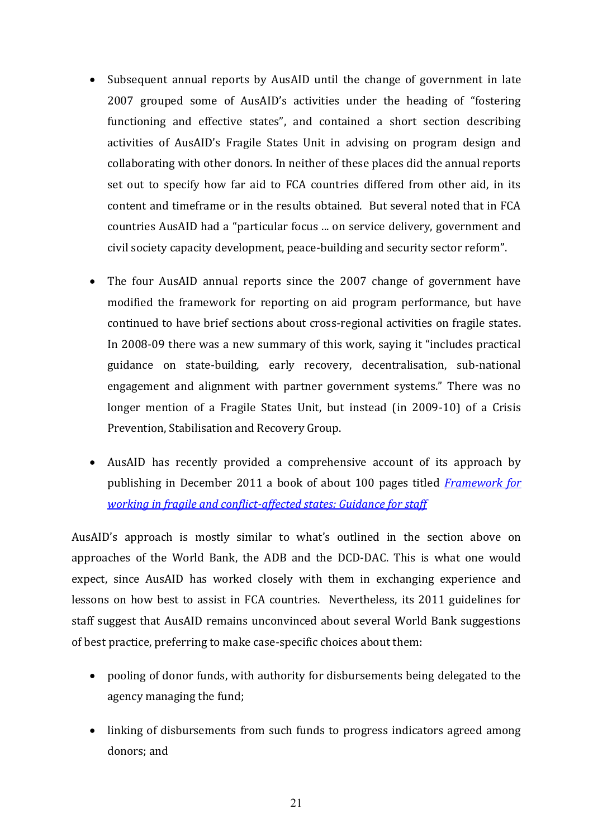- Subsequent annual reports by AusAID until the change of government in late 2007 grouped some of AusAID's activities under the heading of "fostering functioning and effective states", and contained a short section describing activities of AusAID's Fragile States Unit in advising on program design and collaborating with other donors. In neither of these places did the annual reports set out to specify how far aid to FCA countries differed from other aid, in its content and timeframe or in the results obtained. But several noted that in FCA countries AusAID had a "particular focus ... on service delivery, government and civil society capacity development, peace-building and security sector reform".
- The four AusAID annual reports since the 2007 change of government have modified the framework for reporting on aid program performance, but have continued to have brief sections about cross-regional activities on fragile states. In 2008-09 there was a new summary of this work, saying it "includes practical guidance on state-building, early recovery, decentralisation, sub-national engagement and alignment with partner government systems." There was no longer mention of a Fragile States Unit, but instead (in 2009-10) of a Crisis Prevention, Stabilisation and Recovery Group.
- AusAID has recently provided a comprehensive account of its approach by publishing in December 2011 a book of about 100 pages titled *[Framework for](http://www.ausaid.gov.au/Publications/Documents/aid-fragile-conflict-affected-states-staff-guidance.pdf)  [working in fragile and conflict-affected](http://www.ausaid.gov.au/Publications/Documents/aid-fragile-conflict-affected-states-staff-guidance.pdf) states: Guidance for staff*

AusAID's approach is mostly similar to what's outlined in the section above on approaches of the World Bank, the ADB and the DCD-DAC. This is what one would expect, since AusAID has worked closely with them in exchanging experience and lessons on how best to assist in FCA countries. Nevertheless, its 2011 guidelines for staff suggest that AusAID remains unconvinced about several World Bank suggestions of best practice, preferring to make case-specific choices about them:

- pooling of donor funds, with authority for disbursements being delegated to the agency managing the fund;
- linking of disbursements from such funds to progress indicators agreed among donors; and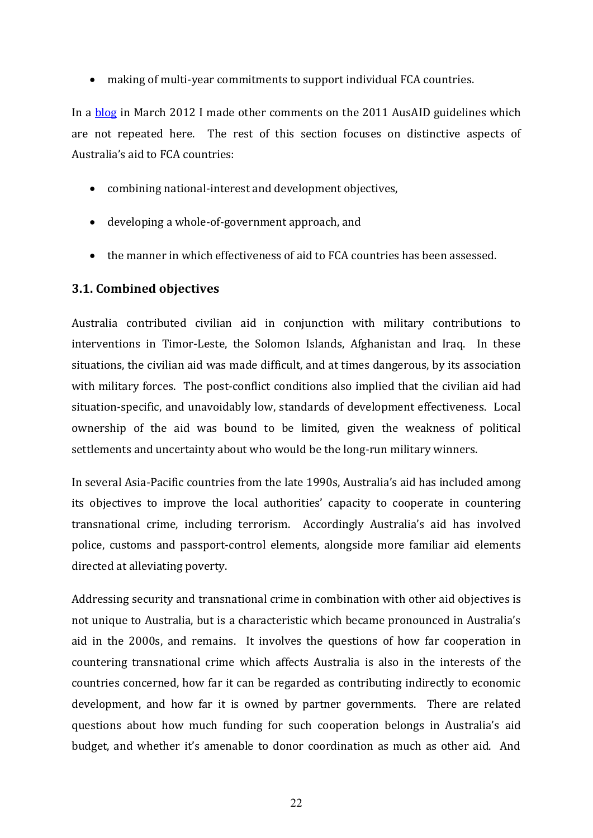making of multi-year commitments to support individual FCA countries.

In a [blog](http://devpolicy.org/aid-in-fragile-and-conflict-affected-states/) in March 2012 I made other comments on the 2011 AusAID guidelines which are not repeated here. The rest of this section focuses on distinctive aspects of Australia's aid to FCA countries:

- combining national-interest and development objectives,
- developing a whole-of-government approach, and
- the manner in which effectiveness of aid to FCA countries has been assessed.

#### **3.1. Combined objectives**

Australia contributed civilian aid in conjunction with military contributions to interventions in Timor-Leste, the Solomon Islands, Afghanistan and Iraq. In these situations, the civilian aid was made difficult, and at times dangerous, by its association with military forces. The post-conflict conditions also implied that the civilian aid had situation-specific, and unavoidably low, standards of development effectiveness. Local ownership of the aid was bound to be limited, given the weakness of political settlements and uncertainty about who would be the long-run military winners.

In several Asia-Pacific countries from the late 1990s, Australia's aid has included among its objectives to improve the local authorities' capacity to cooperate in countering transnational crime, including terrorism. Accordingly Australia's aid has involved police, customs and passport-control elements, alongside more familiar aid elements directed at alleviating poverty.

Addressing security and transnational crime in combination with other aid objectives is not unique to Australia, but is a characteristic which became pronounced in Australia's aid in the 2000s, and remains. It involves the questions of how far cooperation in countering transnational crime which affects Australia is also in the interests of the countries concerned, how far it can be regarded as contributing indirectly to economic development, and how far it is owned by partner governments. There are related questions about how much funding for such cooperation belongs in Australia's aid budget, and whether it's amenable to donor coordination as much as other aid. And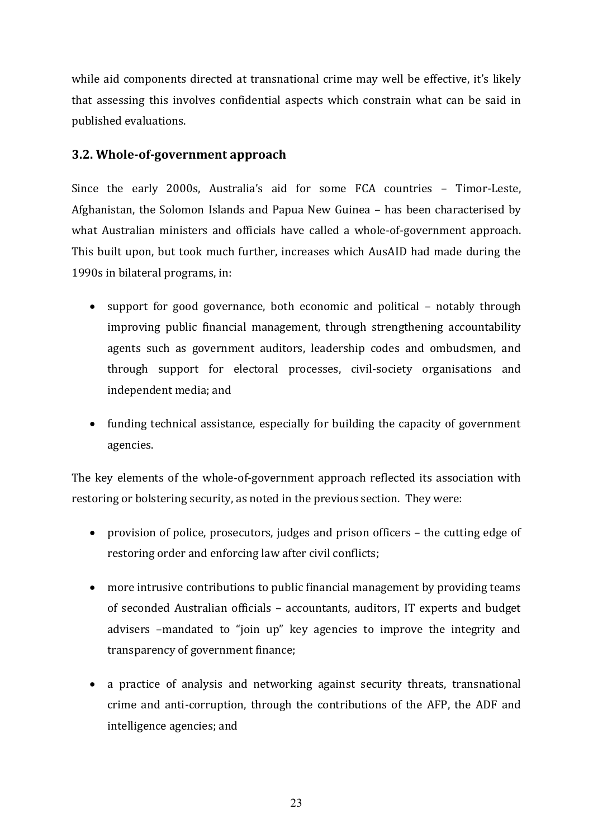while aid components directed at transnational crime may well be effective, it's likely that assessing this involves confidential aspects which constrain what can be said in published evaluations.

#### **3.2. Whole-of-government approach**

Since the early 2000s, Australia's aid for some FCA countries - Timor-Leste, Afghanistan, the Solomon Islands and Papua New Guinea – has been characterised by what Australian ministers and officials have called a whole-of-government approach. This built upon, but took much further, increases which AusAID had made during the 1990s in bilateral programs, in:

- support for good governance, both economic and political notably through improving public financial management, through strengthening accountability agents such as government auditors, leadership codes and ombudsmen, and through support for electoral processes, civil-society organisations and independent media; and
- funding technical assistance, especially for building the capacity of government agencies.

The key elements of the whole-of-government approach reflected its association with restoring or bolstering security, as noted in the previous section. They were:

- provision of police, prosecutors, judges and prison officers the cutting edge of restoring order and enforcing law after civil conflicts;
- more intrusive contributions to public financial management by providing teams of seconded Australian officials – accountants, auditors, IT experts and budget advisers –mandated to "join up" key agencies to improve the integrity and transparency of government finance;
- a practice of analysis and networking against security threats, transnational crime and anti-corruption, through the contributions of the AFP, the ADF and intelligence agencies; and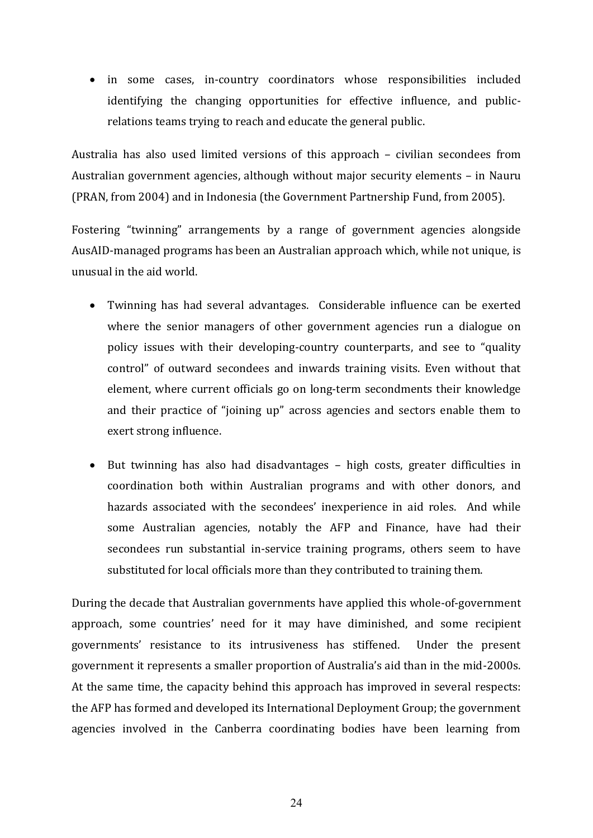• in some cases, in-country coordinators whose responsibilities included identifying the changing opportunities for effective influence, and publicrelations teams trying to reach and educate the general public.

Australia has also used limited versions of this approach – civilian secondees from Australian government agencies, although without major security elements – in Nauru (PRAN, from 2004) and in Indonesia (the Government Partnership Fund, from 2005).

Fostering "twinning" arrangements by a range of government agencies alongside AusAID-managed programs has been an Australian approach which, while not unique, is unusual in the aid world.

- Twinning has had several advantages. Considerable influence can be exerted where the senior managers of other government agencies run a dialogue on policy issues with their developing-country counterparts, and see to "quality control" of outward secondees and inwards training visits. Even without that element, where current officials go on long-term secondments their knowledge and their practice of "joining up" across agencies and sectors enable them to exert strong influence.
- But twinning has also had disadvantages high costs, greater difficulties in coordination both within Australian programs and with other donors, and hazards associated with the secondees' inexperience in aid roles. And while some Australian agencies, notably the AFP and Finance, have had their secondees run substantial in-service training programs, others seem to have substituted for local officials more than they contributed to training them.

During the decade that Australian governments have applied this whole-of-government approach, some countries' need for it may have diminished, and some recipient governments' resistance to its intrusiveness has stiffened. Under the present government it represents a smaller proportion of Australia's aid than in the mid-2000s. At the same time, the capacity behind this approach has improved in several respects: the AFP has formed and developed its International Deployment Group; the government agencies involved in the Canberra coordinating bodies have been learning from

24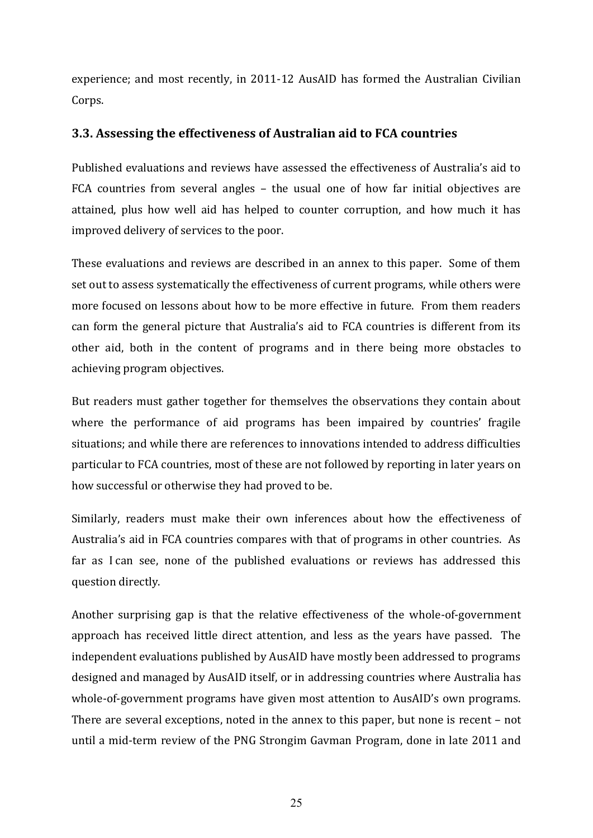experience; and most recently, in 2011-12 AusAID has formed the Australian Civilian Corps.

## **3.3. Assessing the effectiveness of Australian aid to FCA countries**

Published evaluations and reviews have assessed the effectiveness of Australia's aid to FCA countries from several angles – the usual one of how far initial objectives are attained, plus how well aid has helped to counter corruption, and how much it has improved delivery of services to the poor.

These evaluations and reviews are described in an annex to this paper. Some of them set out to assess systematically the effectiveness of current programs, while others were more focused on lessons about how to be more effective in future. From them readers can form the general picture that Australia's aid to FCA countries is different from its other aid, both in the content of programs and in there being more obstacles to achieving program objectives.

But readers must gather together for themselves the observations they contain about where the performance of aid programs has been impaired by countries' fragile situations; and while there are references to innovations intended to address difficulties particular to FCA countries, most of these are not followed by reporting in later years on how successful or otherwise they had proved to be.

Similarly, readers must make their own inferences about how the effectiveness of Australia's aid in FCA countries compares with that of programs in other countries. As far as I can see, none of the published evaluations or reviews has addressed this question directly.

Another surprising gap is that the relative effectiveness of the whole-of-government approach has received little direct attention, and less as the years have passed. The independent evaluations published by AusAID have mostly been addressed to programs designed and managed by AusAID itself, or in addressing countries where Australia has whole-of-government programs have given most attention to AusAID's own programs. There are several exceptions, noted in the annex to this paper, but none is recent – not until a mid-term review of the PNG Strongim Gavman Program, done in late 2011 and

25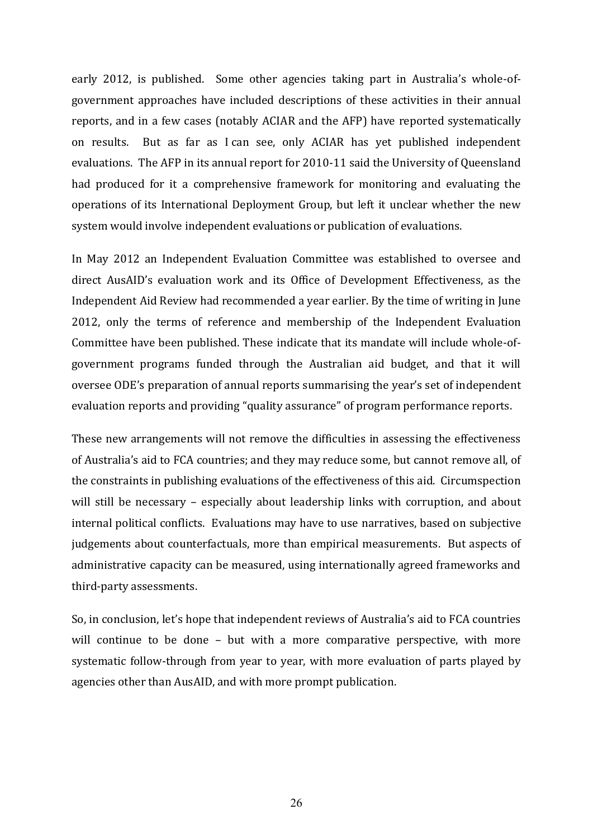early 2012, is published. Some other agencies taking part in Australia's whole-ofgovernment approaches have included descriptions of these activities in their annual reports, and in a few cases (notably ACIAR and the AFP) have reported systematically on results. But as far as I can see, only ACIAR has yet published independent evaluations. The AFP in its annual report for 2010-11 said the University of Queensland had produced for it a comprehensive framework for monitoring and evaluating the operations of its International Deployment Group, but left it unclear whether the new system would involve independent evaluations or publication of evaluations.

In May 2012 an Independent Evaluation Committee was established to oversee and direct AusAID's evaluation work and its Office of Development Effectiveness, as the Independent Aid Review had recommended a year earlier. By the time of writing in June 2012, only the terms of reference and membership of the Independent Evaluation Committee have been published. These indicate that its mandate will include whole-ofgovernment programs funded through the Australian aid budget, and that it will oversee ODE's preparation of annual reports summarising the year's set of independent evaluation reports and providing "quality assurance" of program performance reports.

These new arrangements will not remove the difficulties in assessing the effectiveness of Australia's aid to FCA countries; and they may reduce some, but cannot remove all, of the constraints in publishing evaluations of the effectiveness of this aid. Circumspection will still be necessary – especially about leadership links with corruption, and about internal political conflicts. Evaluations may have to use narratives, based on subjective judgements about counterfactuals, more than empirical measurements. But aspects of administrative capacity can be measured, using internationally agreed frameworks and third-party assessments.

So, in conclusion, let's hope that independent reviews of Australia's aid to FCA countries will continue to be done – but with a more comparative perspective, with more systematic follow-through from year to year, with more evaluation of parts played by agencies other than AusAID, and with more prompt publication.

26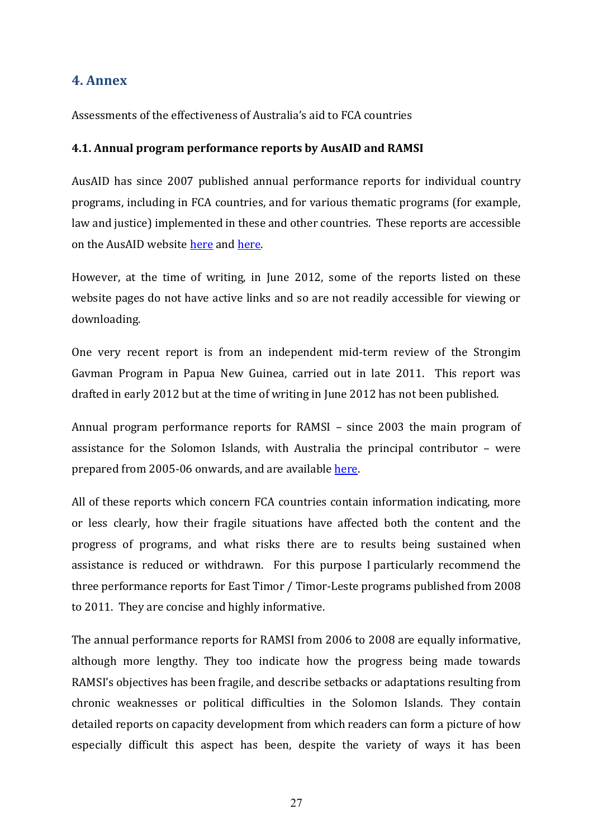# **4. Annex**

Assessments of the effectiveness of Australia's aid to FCA countries

#### **4.1. Annual program performance reports by AusAID and RAMSI**

AusAID has since 2007 published annual performance reports for individual country programs, including in FCA countries, and for various thematic programs (for example, law and justice) implemented in these and other countries. These reports are accessible on the AusAID website [here](http://www.ausaid.gov.au/Publications/Pages/List.aspx?type=PubAPR) an[d here.](http://www.ausaid.gov.au/Publications/Pages/2449_4722_245_1463_2026.aspx)

However, at the time of writing, in June 2012, some of the reports listed on these website pages do not have active links and so are not readily accessible for viewing or downloading.

One very recent report is from an independent mid-term review of the Strongim Gavman Program in Papua New Guinea, carried out in late 2011. This report was drafted in early 2012 but at the time of writing in June 2012 has not been published.

Annual program performance reports for RAMSI – since 2003 the main program of assistance for the Solomon Islands, with Australia the principal contributor – were prepared from 2005-06 onwards, and are available [here.](http://www.ramsi.org/about/partnership-framework/annual-reports.html)

All of these reports which concern FCA countries contain information indicating, more or less clearly, how their fragile situations have affected both the content and the progress of programs, and what risks there are to results being sustained when assistance is reduced or withdrawn. For this purpose I particularly recommend the three performance reports for East Timor / Timor-Leste programs published from 2008 to 2011. They are concise and highly informative.

The annual performance reports for RAMSI from 2006 to 2008 are equally informative, although more lengthy. They too indicate how the progress being made towards RAMSI's objectives has been fragile, and describe setbacks or adaptations resulting from chronic weaknesses or political difficulties in the Solomon Islands. They contain detailed reports on capacity development from which readers can form a picture of how especially difficult this aspect has been, despite the variety of ways it has been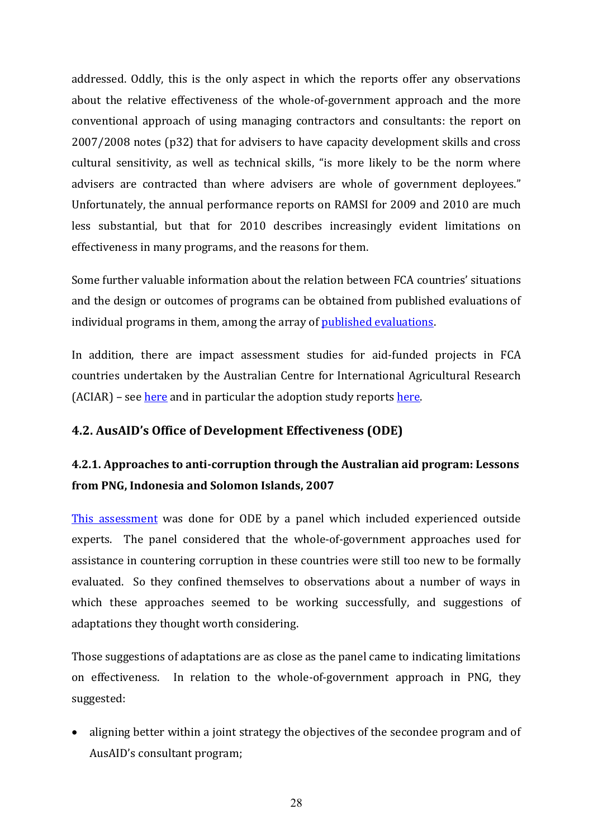addressed. Oddly, this is the only aspect in which the reports offer any observations about the relative effectiveness of the whole-of-government approach and the more conventional approach of using managing contractors and consultants: the report on 2007/2008 notes (p32) that for advisers to have capacity development skills and cross cultural sensitivity, as well as technical skills, "is more likely to be the norm where advisers are contracted than where advisers are whole of government deployees." Unfortunately, the annual performance reports on RAMSI for 2009 and 2010 are much less substantial, but that for 2010 describes increasingly evident limitations on effectiveness in many programs, and the reasons for them.

Some further valuable information about the relation between FCA countries' situations and the design or outcomes of programs can be obtained from published evaluations of individual programs in them, among the array of [published evaluations.](http://www.ausaid.gov.au/Publications/Pages/List.aspx?type=PubEvaluationReports)

In addition, there are impact assessment studies for aid-funded projects in FCA countries undertaken by the Australian Centre for International Agricultural Research (ACIAR) – see [here](http://aciar.gov.au/measuring_impact) and in particular the adoption study report[s here.](http://aciar.gov.au/node/6726)

# **4.2. AusAID's Office of Development Effectiveness (ODE)**

# **4.2.1. Approaches to anti-corruption through the Australian aid program: Lessons from PNG, Indonesia and Solomon Islands, 2007**

[This assessment](http://www.ode.ausaid.gov.au/publications/Documents/anti-corruption_assessment.pdf) was done for ODE by a panel which included experienced outside experts. The panel considered that the whole-of-government approaches used for assistance in countering corruption in these countries were still too new to be formally evaluated. So they confined themselves to observations about a number of ways in which these approaches seemed to be working successfully, and suggestions of adaptations they thought worth considering.

Those suggestions of adaptations are as close as the panel came to indicating limitations on effectiveness. In relation to the whole-of-government approach in PNG, they suggested:

• aligning better within a joint strategy the objectives of the secondee program and of AusAID's consultant program;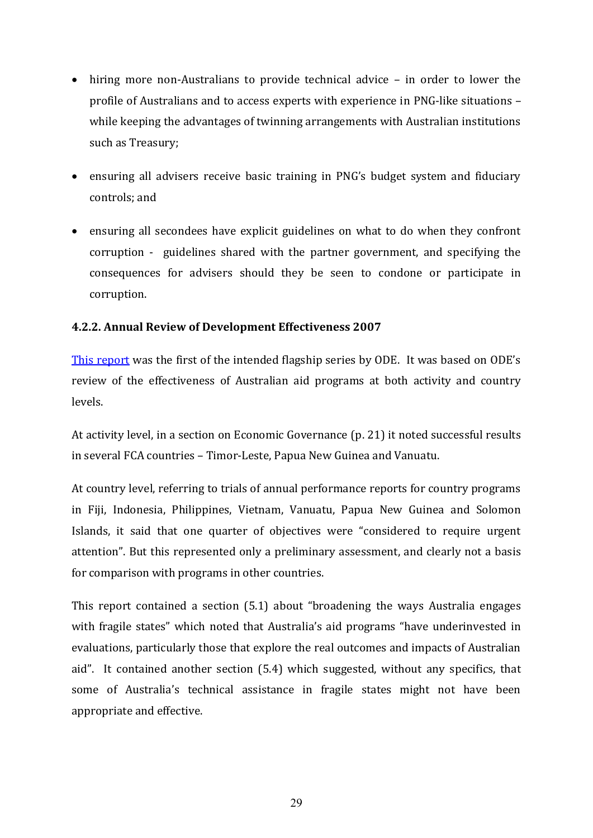- hiring more non-Australians to provide technical advice in order to lower the profile of Australians and to access experts with experience in PNG-like situations – while keeping the advantages of twinning arrangements with Australian institutions such as Treasury;
- ensuring all advisers receive basic training in PNG's budget system and fiduciary controls; and
- ensuring all secondees have explicit guidelines on what to do when they confront corruption - guidelines shared with the partner government, and specifying the consequences for advisers should they be seen to condone or participate in corruption.

#### **4.2.2. Annual Review of Development Effectiveness 2007**

[This report](http://www.ode.ausaid.gov.au/publications/Documents/arde-report-2007.pdf) was the first of the intended flagship series by ODE. It was based on ODE's review of the effectiveness of Australian aid programs at both activity and country levels.

At activity level, in a section on Economic Governance (p. 21) it noted successful results in several FCA countries – Timor-Leste, Papua New Guinea and Vanuatu.

At country level, referring to trials of annual performance reports for country programs in Fiji, Indonesia, Philippines, Vietnam, Vanuatu, Papua New Guinea and Solomon Islands, it said that one quarter of objectives were "considered to require urgent attention". But this represented only a preliminary assessment, and clearly not a basis for comparison with programs in other countries.

This report contained a section  $(5.1)$  about "broadening the ways Australia engages with fragile states" which noted that Australia's aid programs "have underinvested in evaluations, particularly those that explore the real outcomes and impacts of Australian aid". It contained another section (5.4) which suggested, without any specifics, that some of Australia's technical assistance in fragile states might not have been appropriate and effective.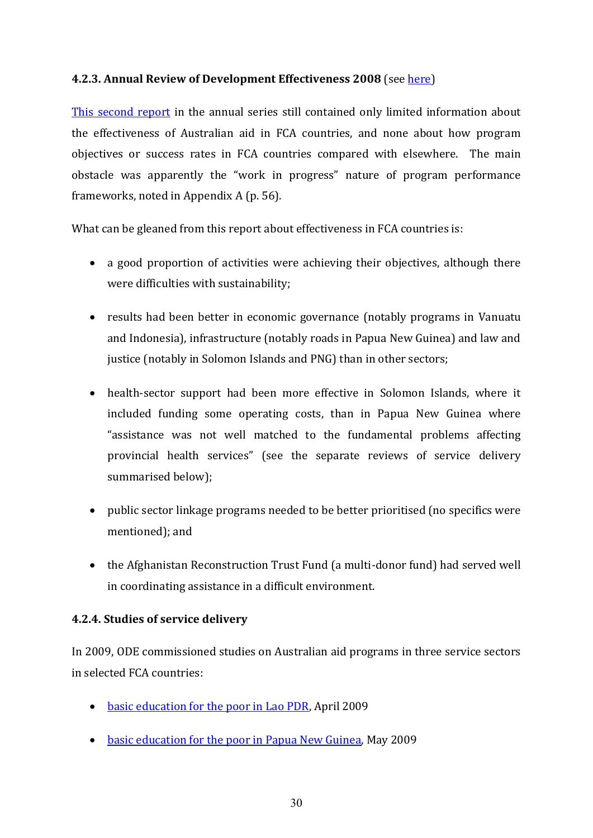#### **4.2.3. Annual Review of Development Effectiveness 2008** (see [here\)](http://www.ode.ausaid.gov.au/publications/documents/arde-report-2008.pdf)

[This second report](http://www.ode.ausaid.gov.au/publications/documents/arde-report-2008.pdf) in the annual series still contained only limited information about the effectiveness of Australian aid in FCA countries, and none about how program objectives or success rates in FCA countries compared with elsewhere. The main obstacle was apparently the "work in progress" nature of program performance frameworks, noted in Appendix A (p. 56).

What can be gleaned from this report about effectiveness in FCA countries is:

- a good proportion of activities were achieving their objectives, although there were difficulties with sustainability;
- results had been better in economic governance (notably programs in Vanuatu and Indonesia), infrastructure (notably roads in Papua New Guinea) and law and justice (notably in Solomon Islands and PNG) than in other sectors;
- health-sector support had been more effective in Solomon Islands, where it included funding some operating costs, than in Papua New Guinea where "assistance was not well matched to the fundamental problems affecting provincial health services" (see the separate reviews of service delivery summarised below);
- public sector linkage programs needed to be better prioritised (no specifics were mentioned); and
- the Afghanistan Reconstruction Trust Fund (a multi-donor fund) had served well in coordinating assistance in a difficult environment.

#### **4.2.4. Studies of service delivery**

In 2009, ODE commissioned studies on Australian aid programs in three service sectors in selected FCA countries:

- [basic education for the poor in Lao PDR,](http://www.ode.ausaid.gov.au/publications/documents/better-education-for-poor-lao.pdf) April 2009
- [basic education for the poor in Papua New Guinea,](http://www.ode.ausaid.gov.au/publications/documents/better-education-for-poor-png.pdf) May 2009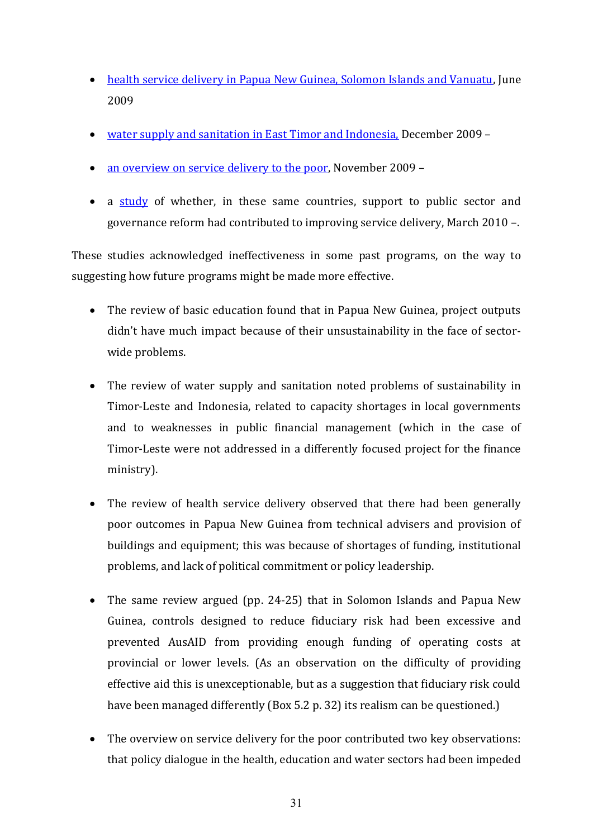- [health service delivery in Papua New Guinea, Solomon Islands and Vanuatu,](http://www.ode.ausaid.gov.au/publications/documents/health-service-delivery-png-sols-van.pdf) June 2009
- [water supply and sanitation in East Timor and Indonesia,](http://www.ode.ausaid.gov.au/publications/documents/aus-water-supply-and-sanitation-easttimor-indonesia.pdf) December 2009 –
- [an overview on service delivery to the poor,](http://www.ode.ausaid.gov.au/publications/documents/ServiceDeliveryforthePoor-Baird.pdf) November 2009 –
- a [study](http://www.ode.ausaid.gov.au/publications/Documents/improvingservicesforthepoor.pdf) of whether, in these same countries, support to public sector and governance reform had contributed to improving service delivery, March 2010 –.

These studies acknowledged ineffectiveness in some past programs, on the way to suggesting how future programs might be made more effective.

- The review of basic education found that in Papua New Guinea, project outputs didn't have much impact because of their unsustainability in the face of sectorwide problems.
- The review of water supply and sanitation noted problems of sustainability in Timor-Leste and Indonesia, related to capacity shortages in local governments and to weaknesses in public financial management (which in the case of Timor-Leste were not addressed in a differently focused project for the finance ministry).
- The review of health service delivery observed that there had been generally poor outcomes in Papua New Guinea from technical advisers and provision of buildings and equipment; this was because of shortages of funding, institutional problems, and lack of political commitment or policy leadership.
- The same review argued (pp. 24-25) that in Solomon Islands and Papua New Guinea, controls designed to reduce fiduciary risk had been excessive and prevented AusAID from providing enough funding of operating costs at provincial or lower levels. (As an observation on the difficulty of providing effective aid this is unexceptionable, but as a suggestion that fiduciary risk could have been managed differently (Box 5.2 p. 32) its realism can be questioned.)
- The overview on service delivery for the poor contributed two key observations: that policy dialogue in the health, education and water sectors had been impeded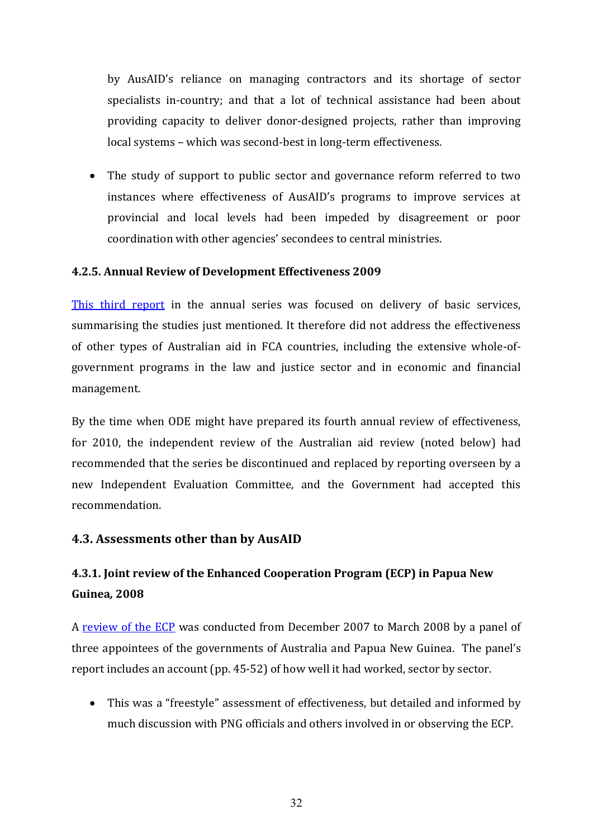by AusAID's reliance on managing contractors and its shortage of sector specialists in-country; and that a lot of technical assistance had been about providing capacity to deliver donor-designed projects, rather than improving local systems – which was second-best in long-term effectiveness.

 The study of support to public sector and governance reform referred to two instances where effectiveness of AusAID's programs to improve services at provincial and local levels had been impeded by disagreement or poor coordination with other agencies' secondees to central ministries.

#### **4.2.5. Annual Review of Development Effectiveness 2009**

[This third report](http://www.ode.ausaid.gov.au/publications/Documents/arde2009.pdf) in the annual series was focused on delivery of basic services, summarising the studies just mentioned. It therefore did not address the effectiveness of other types of Australian aid in FCA countries, including the extensive whole-ofgovernment programs in the law and justice sector and in economic and financial management.

By the time when ODE might have prepared its fourth annual review of effectiveness, for 2010, the independent review of the Australian aid review (noted below) had recommended that the series be discontinued and replaced by reporting overseen by a new Independent Evaluation Committee, and the Government had accepted this recommendation.

#### **4.3. Assessments other than by AusAID**

# **4.3.1. Joint review of the Enhanced Cooperation Program (ECP) in Papua New Guinea***,* **2008**

A [review of the ECP](http://www.ausaid.gov.au/Publications/Pages/8826_2805_6632_425_3027.aspx) was conducted from December 2007 to March 2008 by a panel of three appointees of the governments of Australia and Papua New Guinea. The panel's report includes an account (pp. 45-52) of how well it had worked, sector by sector.

• This was a "freestyle" assessment of effectiveness, but detailed and informed by much discussion with PNG officials and others involved in or observing the ECP.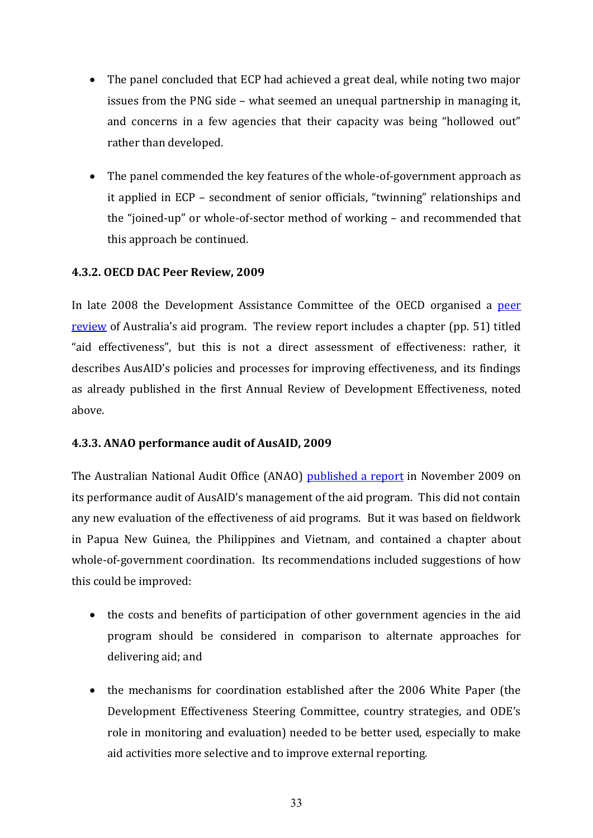- The panel concluded that ECP had achieved a great deal, while noting two major issues from the PNG side – what seemed an unequal partnership in managing it, and concerns in a few agencies that their capacity was being "hollowed out" rather than developed.
- The panel commended the key features of the whole-of-government approach as it applied in ECP – secondment of senior officials, "twinning" relationships and the "joined-up" or whole-of-sector method of working – and recommended that this approach be continued.

#### **4.3.2. OECD DAC Peer Review, 2009**

In late 2008 the Development Assistance Committee of the OECD organised a peer [review](http://www.oecd.org/dataoecd/38/29/42019772.pdf) of Australia's aid program. The review report includes a chapter (pp. 51) titled "aid effectiveness", but this is not a direct assessment of effectiveness: rather, it describes AusAID's policies and processes for improving effectiveness, and its findings as already published in the first Annual Review of Development Effectiveness, noted above.

#### **4.3.3. ANAO performance audit of AusAID, 2009**

The Australian National Audit Office (ANAO) [published a report](http://www.anao.gov.au/~/media/Uploads/Documents/2009%2010_audit_report_15.pdf) in November 2009 on its performance audit of AusAID's management of the aid program. This did not contain any new evaluation of the effectiveness of aid programs. But it was based on fieldwork in Papua New Guinea, the Philippines and Vietnam, and contained a chapter about whole-of-government coordination. Its recommendations included suggestions of how this could be improved:

- the costs and benefits of participation of other government agencies in the aid program should be considered in comparison to alternate approaches for delivering aid; and
- the mechanisms for coordination established after the 2006 White Paper (the Development Effectiveness Steering Committee, country strategies, and ODE's role in monitoring and evaluation) needed to be better used, especially to make aid activities more selective and to improve external reporting.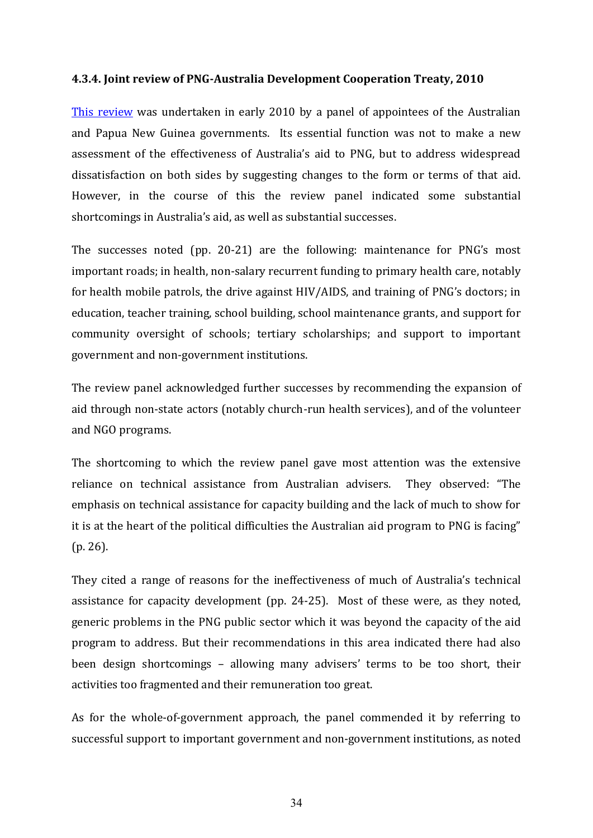#### **4.3.4. Joint review of PNG-Australia Development Cooperation Treaty, 2010**

[This review](http://www.ausaid.gov.au/Publications/Pages/7121_4186_4801_3795_5658.aspx) was undertaken in early 2010 by a panel of appointees of the Australian and Papua New Guinea governments. Its essential function was not to make a new assessment of the effectiveness of Australia's aid to PNG, but to address widespread dissatisfaction on both sides by suggesting changes to the form or terms of that aid. However, in the course of this the review panel indicated some substantial shortcomings in Australia's aid, as well as substantial successes.

The successes noted (pp. 20-21) are the following: maintenance for PNG's most important roads; in health, non-salary recurrent funding to primary health care, notably for health mobile patrols, the drive against  $HIV/AIDS$ , and training of  $PNG's$  doctors; in education, teacher training, school building, school maintenance grants, and support for community oversight of schools; tertiary scholarships; and support to important government and non-government institutions.

The review panel acknowledged further successes by recommending the expansion of aid through non-state actors (notably church-run health services), and of the volunteer and NGO programs.

The shortcoming to which the review panel gave most attention was the extensive reliance on technical assistance from Australian advisers. They observed: "The emphasis on technical assistance for capacity building and the lack of much to show for it is at the heart of the political difficulties the Australian aid program to PNG is facing" (p. 26).

They cited a range of reasons for the ineffectiveness of much of Australia's technical assistance for capacity development (pp. 24-25). Most of these were, as they noted, generic problems in the PNG public sector which it was beyond the capacity of the aid program to address. But their recommendations in this area indicated there had also been design shortcomings – allowing many advisers' terms to be too short, their activities too fragmented and their remuneration too great.

As for the whole-of-government approach, the panel commended it by referring to successful support to important government and non-government institutions, as noted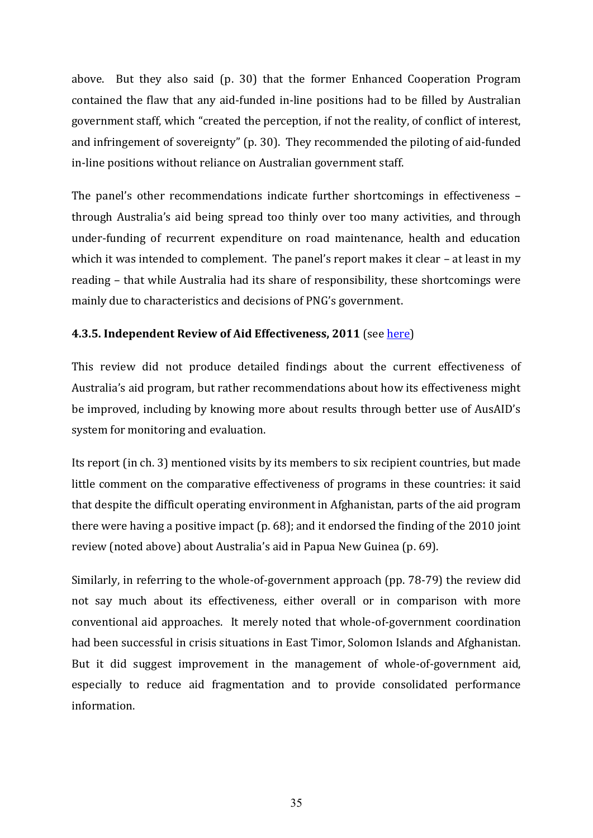above. But they also said (p. 30) that the former Enhanced Cooperation Program contained the flaw that any aid-funded in-line positions had to be filled by Australian government staff, which "created the perception, if not the reality, of conflict of interest, and infringement of sovereignty" (p. 30). They recommended the piloting of aid-funded in-line positions without reliance on Australian government staff.

The panel's other recommendations indicate further shortcomings in effectiveness  $$ through Australia's aid being spread too thinly over too many activities, and through under-funding of recurrent expenditure on road maintenance, health and education which it was intended to complement. The panel's report makes it clear  $-$  at least in my reading – that while Australia had its share of responsibility, these shortcomings were mainly due to characteristics and decisions of PNG's government.

#### **4.3.5. Independent Review of Aid Effectiveness, 2011** (see [here\)](http://www.aidreview.gov.au/report/index.html)

This review did not produce detailed findings about the current effectiveness of Australia's aid program, but rather recommendations about how its effectiveness might be improved, including by knowing more about results through better use of AusAID's system for monitoring and evaluation.

Its report (in ch. 3) mentioned visits by its members to six recipient countries, but made little comment on the comparative effectiveness of programs in these countries: it said that despite the difficult operating environment in Afghanistan, parts of the aid program there were having a positive impact (p. 68); and it endorsed the finding of the 2010 joint review (noted above) about Australia's aid in Papua New Guinea (p. 69).

Similarly, in referring to the whole-of-government approach (pp. 78-79) the review did not say much about its effectiveness, either overall or in comparison with more conventional aid approaches. It merely noted that whole-of-government coordination had been successful in crisis situations in East Timor, Solomon Islands and Afghanistan. But it did suggest improvement in the management of whole-of-government aid, especially to reduce aid fragmentation and to provide consolidated performance information.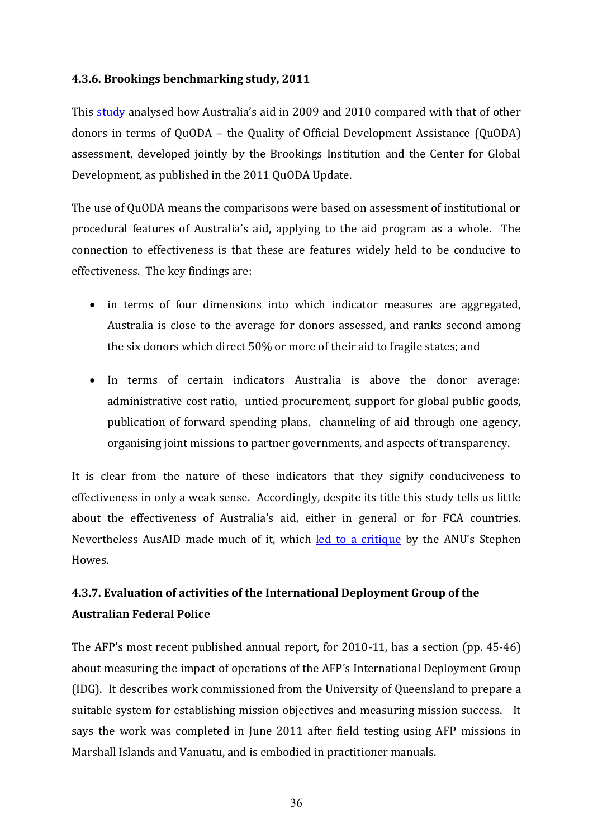#### **4.3.6. Brookings benchmarking study, 2011**

This [study](http://www.brookings.edu/research/papers/2011/12/australia-aid-effectiveness-chandy) analysed how Australia's aid in 2009 and 2010 compared with that of other donors in terms of QuODA – the Quality of Official Development Assistance (QuODA) assessment, developed jointly by the Brookings Institution and the Center for Global Development, as published in the 2011 QuODA Update.

The use of QuODA means the comparisons were based on assessment of institutional or procedural features of Australia's aid, applying to the aid program as a whole. The connection to effectiveness is that these are features widely held to be conducive to effectiveness. The key findings are:

- in terms of four dimensions into which indicator measures are aggregated, Australia is close to the average for donors assessed, and ranks second among the six donors which direct 50% or more of their aid to fragile states; and
- In terms of certain indicators Australia is above the donor average: administrative cost ratio, untied procurement, support for global public goods, publication of forward spending plans, channeling of aid through one agency, organising joint missions to partner governments, and aspects of transparency.

It is clear from the nature of these indicators that they signify conduciveness to effectiveness in only a weak sense. Accordingly, despite its title this study tells us little about the effectiveness of Australia's aid, either in general or for FCA countries. Nevertheless AusAID made much of it, which [led to a critique](http://devpolicy.org/is-australian-aid-world-standard-problems-with-recent-analysis-from-brookings-and-ausaid/) by the ANU's Stephen Howes.

# **4.3.7. Evaluation of activities of the International Deployment Group of the Australian Federal Police**

The AFP's most recent published annual report, for  $2010-11$ , has a section (pp. 45-46) about measuring the impact of operations of the AFP's International Deployment Group (IDG). It describes work commissioned from the University of Queensland to prepare a suitable system for establishing mission objectives and measuring mission success. It says the work was completed in June 2011 after field testing using AFP missions in Marshall Islands and Vanuatu, and is embodied in practitioner manuals.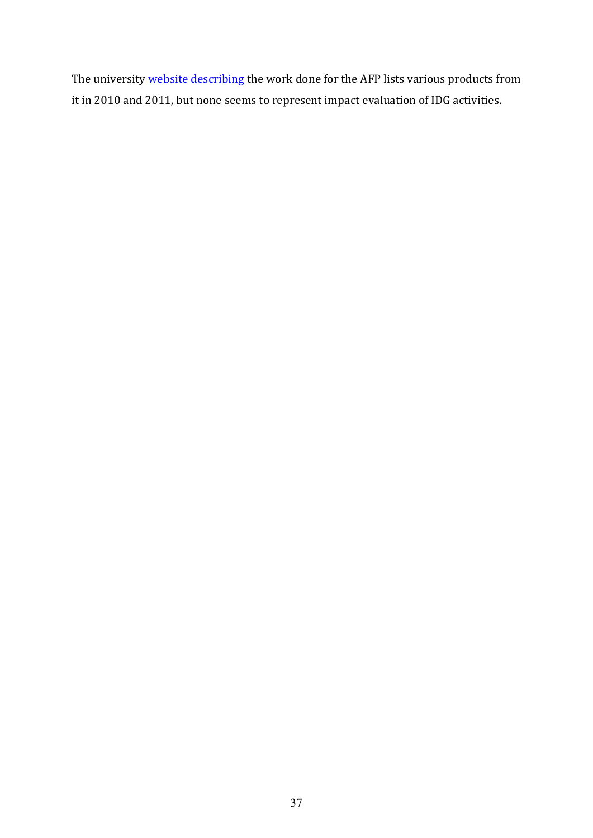The university [website describing](http://www.ceps.edu.au/research/extending-frontiers-research-program/performance-models) the work done for the AFP lists various products from it in 2010 and 2011, but none seems to represent impact evaluation of IDG activities.